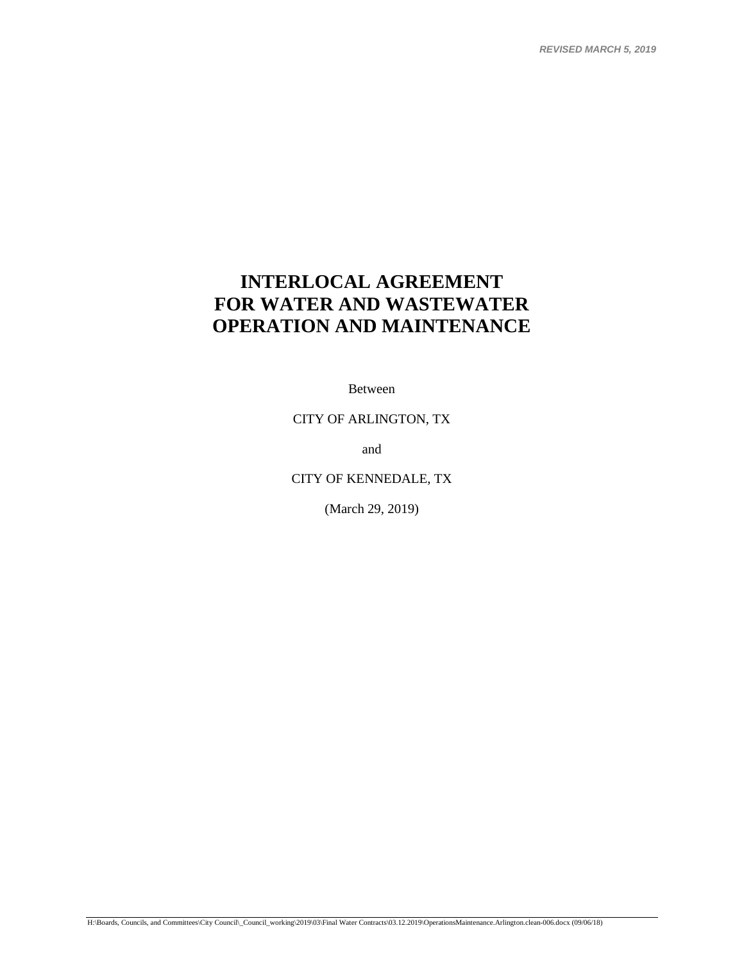*REVISED MARCH 5, 2019*

# **INTERLOCAL AGREEMENT FOR WATER AND WASTEWATER OPERATION AND MAINTENANCE**

Between

CITY OF ARLINGTON, TX

and

CITY OF KENNEDALE, TX

(March 29, 2019)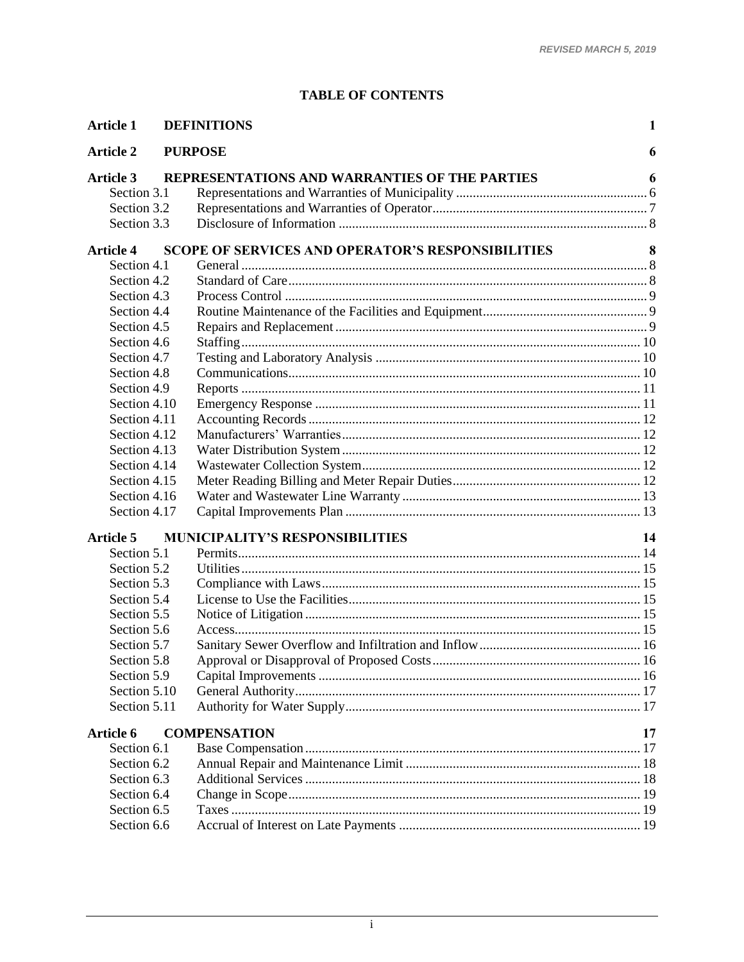# **TABLE OF CONTENTS**

| <b>Article 1</b> | <b>DEFINITIONS</b>                                       | 1  |
|------------------|----------------------------------------------------------|----|
| <b>Article 2</b> | <b>PURPOSE</b>                                           | 6  |
| <b>Article 3</b> | REPRESENTATIONS AND WARRANTIES OF THE PARTIES            | 6  |
| Section 3.1      |                                                          |    |
| Section 3.2      |                                                          |    |
| Section 3.3      |                                                          |    |
| <b>Article 4</b> | <b>SCOPE OF SERVICES AND OPERATOR'S RESPONSIBILITIES</b> | 8  |
| Section 4.1      |                                                          |    |
| Section 4.2      |                                                          |    |
| Section 4.3      |                                                          |    |
| Section 4.4      |                                                          |    |
| Section 4.5      |                                                          |    |
| Section 4.6      |                                                          |    |
| Section 4.7      |                                                          |    |
| Section 4.8      |                                                          |    |
| Section 4.9      |                                                          |    |
| Section 4.10     |                                                          |    |
| Section 4.11     |                                                          |    |
| Section 4.12     |                                                          |    |
| Section 4.13     |                                                          |    |
| Section 4.14     |                                                          |    |
| Section 4.15     |                                                          |    |
| Section 4.16     |                                                          |    |
| Section 4.17     |                                                          |    |
| <b>Article 5</b> | <b>MUNICIPALITY'S RESPONSIBILITIES</b>                   | 14 |
| Section 5.1      |                                                          |    |
| Section 5.2      |                                                          |    |
| Section 5.3      |                                                          |    |
| Section 5.4      |                                                          |    |
| Section 5.5      |                                                          |    |
| Section 5.6      |                                                          |    |
| Section 5.7      |                                                          |    |
| Section 5.8      |                                                          |    |
| Section 5.9      |                                                          |    |
| Section 5.10     |                                                          |    |
| Section 5.11     |                                                          |    |
| Article 6        | <b>COMPENSATION</b>                                      | 17 |
| Section 6.1      |                                                          |    |
| Section 6.2      |                                                          |    |
| Section 6.3      |                                                          |    |
| Section 6.4      |                                                          |    |
| Section 6.5      |                                                          |    |
| Section 6.6      |                                                          |    |
|                  |                                                          |    |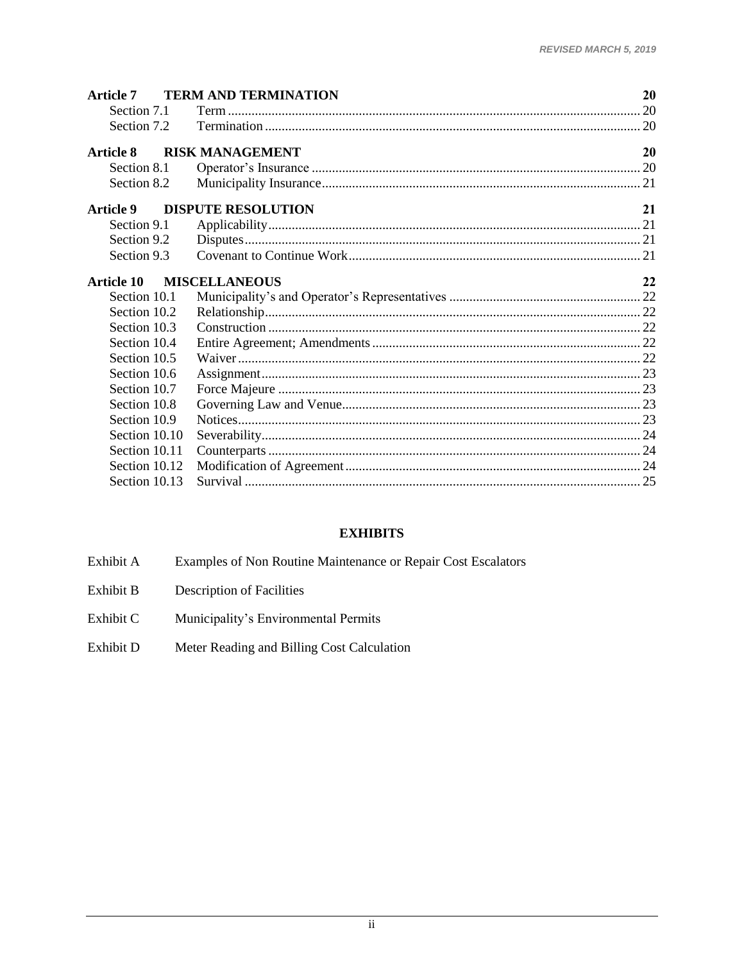| <b>Article 7</b> | <b>TERM AND TERMINATION</b> | 20 |
|------------------|-----------------------------|----|
| Section 7.1      |                             |    |
| Section 7.2      |                             |    |
| <b>Article 8</b> | <b>RISK MANAGEMENT</b>      | 20 |
| Section 8.1      |                             |    |
| Section 8.2      |                             |    |
| <b>Article 9</b> | <b>DISPUTE RESOLUTION</b>   | 21 |
| Section 9.1      |                             |    |
| Section 9.2      |                             |    |
| Section 9.3      |                             |    |
| Article 10       | <b>MISCELLANEOUS</b>        | 22 |
| Section 10.1     |                             |    |
| Section 10.2     |                             |    |
| Section 10.3     |                             |    |
| Section 10.4     |                             |    |
| Section 10.5     |                             |    |
| Section 10.6     |                             |    |
| Section 10.7     |                             |    |
| Section 10.8     |                             |    |
| Section 10.9     |                             |    |
| Section 10.10    |                             |    |
| Section 10.11    |                             |    |
| Section 10.12    |                             |    |
| Section 10.13    |                             |    |

# **EXHIBITS**

- Examples of Non Routine Maintenance or Repair Cost Escalators Exhibit A
- Exhibit B Description of Facilities
- Exhibit C Municipality's Environmental Permits
- Meter Reading and Billing Cost Calculation Exhibit D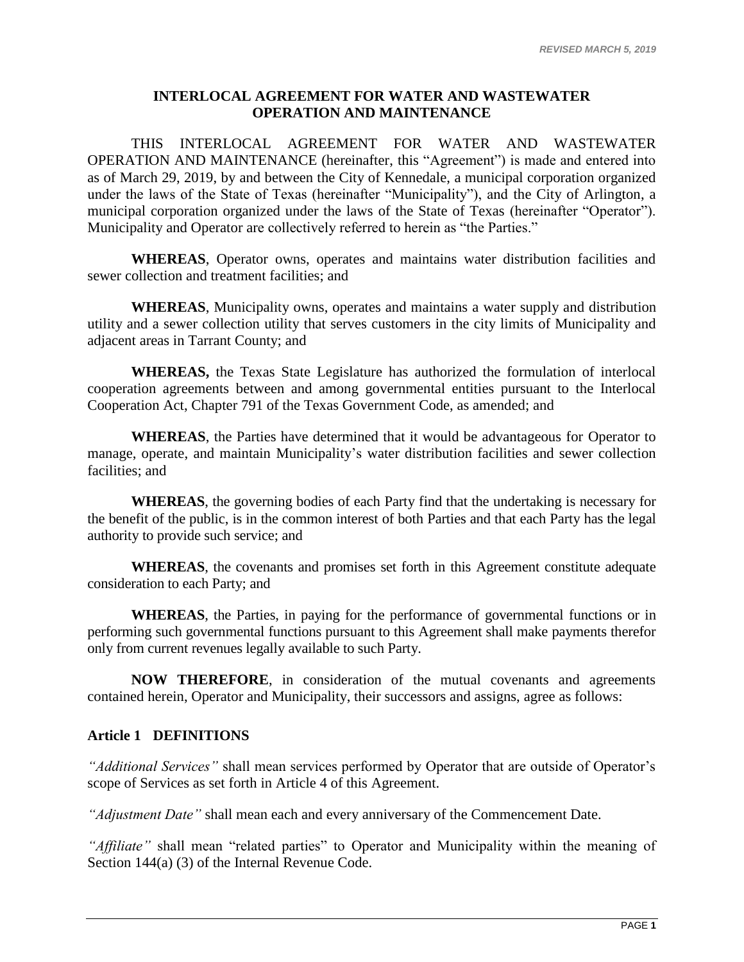# **INTERLOCAL AGREEMENT FOR WATER AND WASTEWATER OPERATION AND MAINTENANCE**

THIS INTERLOCAL AGREEMENT FOR WATER AND WASTEWATER OPERATION AND MAINTENANCE (hereinafter, this "Agreement") is made and entered into as of March 29, 2019, by and between the City of Kennedale, a municipal corporation organized under the laws of the State of Texas (hereinafter "Municipality"), and the City of Arlington, a municipal corporation organized under the laws of the State of Texas (hereinafter "Operator"). Municipality and Operator are collectively referred to herein as "the Parties."

**WHEREAS**, Operator owns, operates and maintains water distribution facilities and sewer collection and treatment facilities; and

**WHEREAS**, Municipality owns, operates and maintains a water supply and distribution utility and a sewer collection utility that serves customers in the city limits of Municipality and adjacent areas in Tarrant County; and

**WHEREAS,** the Texas State Legislature has authorized the formulation of interlocal cooperation agreements between and among governmental entities pursuant to the Interlocal Cooperation Act, Chapter 791 of the Texas Government Code, as amended; and

**WHEREAS**, the Parties have determined that it would be advantageous for Operator to manage, operate, and maintain Municipality's water distribution facilities and sewer collection facilities; and

**WHEREAS**, the governing bodies of each Party find that the undertaking is necessary for the benefit of the public, is in the common interest of both Parties and that each Party has the legal authority to provide such service; and

**WHEREAS**, the covenants and promises set forth in this Agreement constitute adequate consideration to each Party; and

**WHEREAS**, the Parties, in paying for the performance of governmental functions or in performing such governmental functions pursuant to this Agreement shall make payments therefor only from current revenues legally available to such Party.

**NOW THEREFORE**, in consideration of the mutual covenants and agreements contained herein, Operator and Municipality, their successors and assigns, agree as follows:

# <span id="page-3-0"></span>**Article 1 DEFINITIONS**

*"Additional Services"* shall mean services performed by Operator that are outside of Operator's scope of Services as set forth in Article 4 of this Agreement.

*"Adjustment Date"* shall mean each and every anniversary of the Commencement Date.

*"Affiliate"* shall mean "related parties" to Operator and Municipality within the meaning of Section 144(a) (3) of the Internal Revenue Code.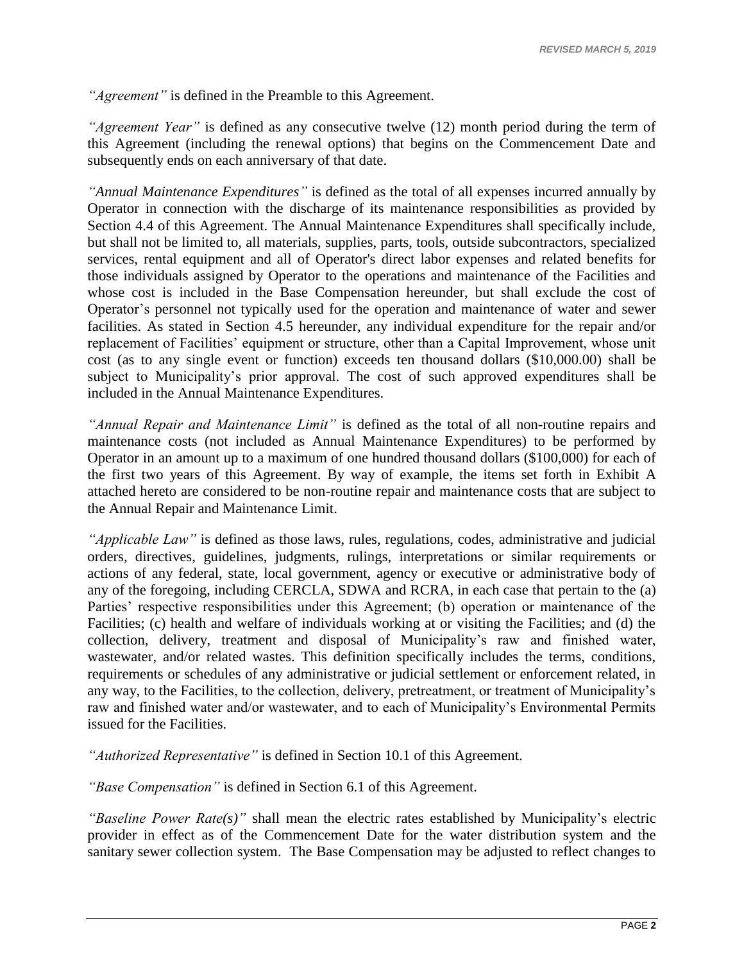*"Agreement"* is defined in the Preamble to this Agreement.

*"Agreement Year"* is defined as any consecutive twelve (12) month period during the term of this Agreement (including the renewal options) that begins on the Commencement Date and subsequently ends on each anniversary of that date.

*"Annual Maintenance Expenditures"* is defined as the total of all expenses incurred annually by Operator in connection with the discharge of its maintenance responsibilities as provided by [Section 4.4](#page-11-1) of this Agreement. The Annual Maintenance Expenditures shall specifically include, but shall not be limited to, all materials, supplies, parts, tools, outside subcontractors, specialized services, rental equipment and all of Operator's direct labor expenses and related benefits for those individuals assigned by Operator to the operations and maintenance of the Facilities and whose cost is included in the Base Compensation hereunder, but shall exclude the cost of Operator's personnel not typically used for the operation and maintenance of water and sewer facilities. As stated in [Section 4.5](#page-11-2) hereunder, any individual expenditure for the repair and/or replacement of Facilities' equipment or structure, other than a Capital Improvement, whose unit cost (as to any single event or function) exceeds ten thousand dollars (\$10,000.00) shall be subject to Municipality's prior approval. The cost of such approved expenditures shall be included in the Annual Maintenance Expenditures.

*"Annual Repair and Maintenance Limit"* is defined as the total of all non-routine repairs and maintenance costs (not included as Annual Maintenance Expenditures) to be performed by Operator in an amount up to a maximum of one hundred thousand dollars (\$100,000) for each of the first two years of this Agreement. By way of example, the items set forth in Exhibit A attached hereto are considered to be non-routine repair and maintenance costs that are subject to the Annual Repair and Maintenance Limit.

*"Applicable Law"* is defined as those laws, rules, regulations, codes, administrative and judicial orders, directives, guidelines, judgments, rulings, interpretations or similar requirements or actions of any federal, state, local government, agency or executive or administrative body of any of the foregoing, including CERCLA, SDWA and RCRA, in each case that pertain to the (a) Parties' respective responsibilities under this Agreement; (b) operation or maintenance of the Facilities; (c) health and welfare of individuals working at or visiting the Facilities; and (d) the collection, delivery, treatment and disposal of Municipality's raw and finished water, wastewater, and/or related wastes. This definition specifically includes the terms, conditions, requirements or schedules of any administrative or judicial settlement or enforcement related, in any way, to the Facilities, to the collection, delivery, pretreatment, or treatment of Municipality's raw and finished water and/or wastewater, and to each of Municipality's Environmental Permits issued for the Facilities.

*"Authorized Representative"* is defined in Section 10.1 of this Agreement.

*"Base Compensation"* is defined in [Section 6.1](#page-19-3) of this Agreement.

*"Baseline Power Rate(s)"* shall mean the electric rates established by Municipality's electric provider in effect as of the Commencement Date for the water distribution system and the sanitary sewer collection system. The Base Compensation may be adjusted to reflect changes to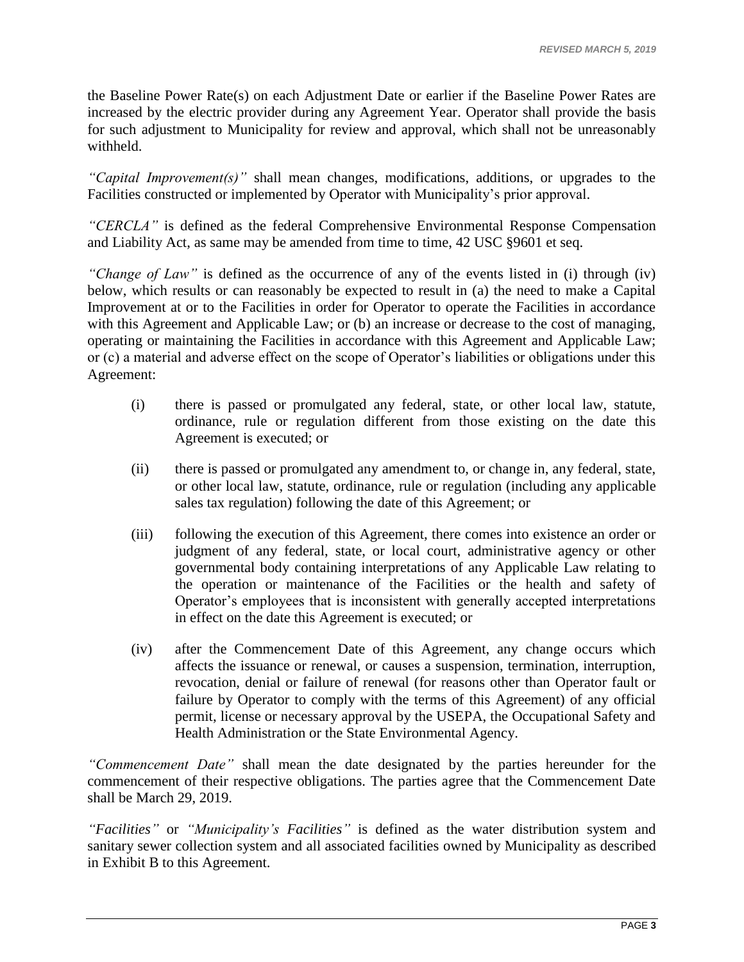the Baseline Power Rate(s) on each Adjustment Date or earlier if the Baseline Power Rates are increased by the electric provider during any Agreement Year. Operator shall provide the basis for such adjustment to Municipality for review and approval, which shall not be unreasonably withheld.

*"Capital Improvement(s)"* shall mean changes, modifications, additions, or upgrades to the Facilities constructed or implemented by Operator with Municipality's prior approval.

*"CERCLA"* is defined as the federal Comprehensive Environmental Response Compensation and Liability Act, as same may be amended from time to time, 42 USC §9601 et seq.

*"Change of Law"* is defined as the occurrence of any of the events listed in (i) through (iv) below, which results or can reasonably be expected to result in (a) the need to make a Capital Improvement at or to the Facilities in order for Operator to operate the Facilities in accordance with this Agreement and Applicable Law; or (b) an increase or decrease to the cost of managing, operating or maintaining the Facilities in accordance with this Agreement and Applicable Law; or (c) a material and adverse effect on the scope of Operator's liabilities or obligations under this Agreement:

- (i) there is passed or promulgated any federal, state, or other local law, statute, ordinance, rule or regulation different from those existing on the date this Agreement is executed; or
- (ii) there is passed or promulgated any amendment to, or change in, any federal, state, or other local law, statute, ordinance, rule or regulation (including any applicable sales tax regulation) following the date of this Agreement; or
- (iii) following the execution of this Agreement, there comes into existence an order or judgment of any federal, state, or local court, administrative agency or other governmental body containing interpretations of any Applicable Law relating to the operation or maintenance of the Facilities or the health and safety of Operator's employees that is inconsistent with generally accepted interpretations in effect on the date this Agreement is executed; or
- (iv) after the Commencement Date of this Agreement, any change occurs which affects the issuance or renewal, or causes a suspension, termination, interruption, revocation, denial or failure of renewal (for reasons other than Operator fault or failure by Operator to comply with the terms of this Agreement) of any official permit, license or necessary approval by the USEPA, the Occupational Safety and Health Administration or the State Environmental Agency.

*"Commencement Date"* shall mean the date designated by the parties hereunder for the commencement of their respective obligations. The parties agree that the Commencement Date shall be March 29, 2019.

*"Facilities"* or *"Municipality's Facilities"* is defined as the water distribution system and sanitary sewer collection system and all associated facilities owned by Municipality as described in Exhibit B to this Agreement.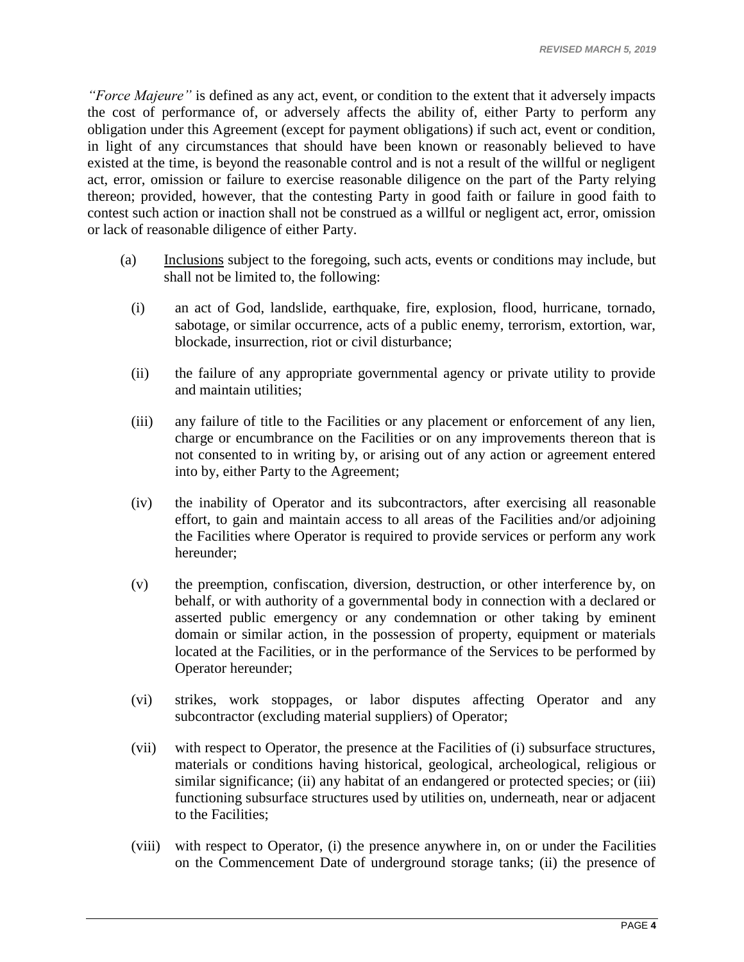*"Force Majeure"* is defined as any act, event, or condition to the extent that it adversely impacts the cost of performance of, or adversely affects the ability of, either Party to perform any obligation under this Agreement (except for payment obligations) if such act, event or condition, in light of any circumstances that should have been known or reasonably believed to have existed at the time, is beyond the reasonable control and is not a result of the willful or negligent act, error, omission or failure to exercise reasonable diligence on the part of the Party relying thereon; provided, however, that the contesting Party in good faith or failure in good faith to contest such action or inaction shall not be construed as a willful or negligent act, error, omission or lack of reasonable diligence of either Party.

- (a) Inclusions subject to the foregoing, such acts, events or conditions may include, but shall not be limited to, the following:
	- (i) an act of God, landslide, earthquake, fire, explosion, flood, hurricane, tornado, sabotage, or similar occurrence, acts of a public enemy, terrorism, extortion, war, blockade, insurrection, riot or civil disturbance;
	- (ii) the failure of any appropriate governmental agency or private utility to provide and maintain utilities;
	- (iii) any failure of title to the Facilities or any placement or enforcement of any lien, charge or encumbrance on the Facilities or on any improvements thereon that is not consented to in writing by, or arising out of any action or agreement entered into by, either Party to the Agreement;
	- (iv) the inability of Operator and its subcontractors, after exercising all reasonable effort, to gain and maintain access to all areas of the Facilities and/or adjoining the Facilities where Operator is required to provide services or perform any work hereunder;
	- (v) the preemption, confiscation, diversion, destruction, or other interference by, on behalf, or with authority of a governmental body in connection with a declared or asserted public emergency or any condemnation or other taking by eminent domain or similar action, in the possession of property, equipment or materials located at the Facilities, or in the performance of the Services to be performed by Operator hereunder;
	- (vi) strikes, work stoppages, or labor disputes affecting Operator and any subcontractor (excluding material suppliers) of Operator;
	- (vii) with respect to Operator, the presence at the Facilities of (i) subsurface structures, materials or conditions having historical, geological, archeological, religious or similar significance; (ii) any habitat of an endangered or protected species; or (iii) functioning subsurface structures used by utilities on, underneath, near or adjacent to the Facilities;
	- (viii) with respect to Operator, (i) the presence anywhere in, on or under the Facilities on the Commencement Date of underground storage tanks; (ii) the presence of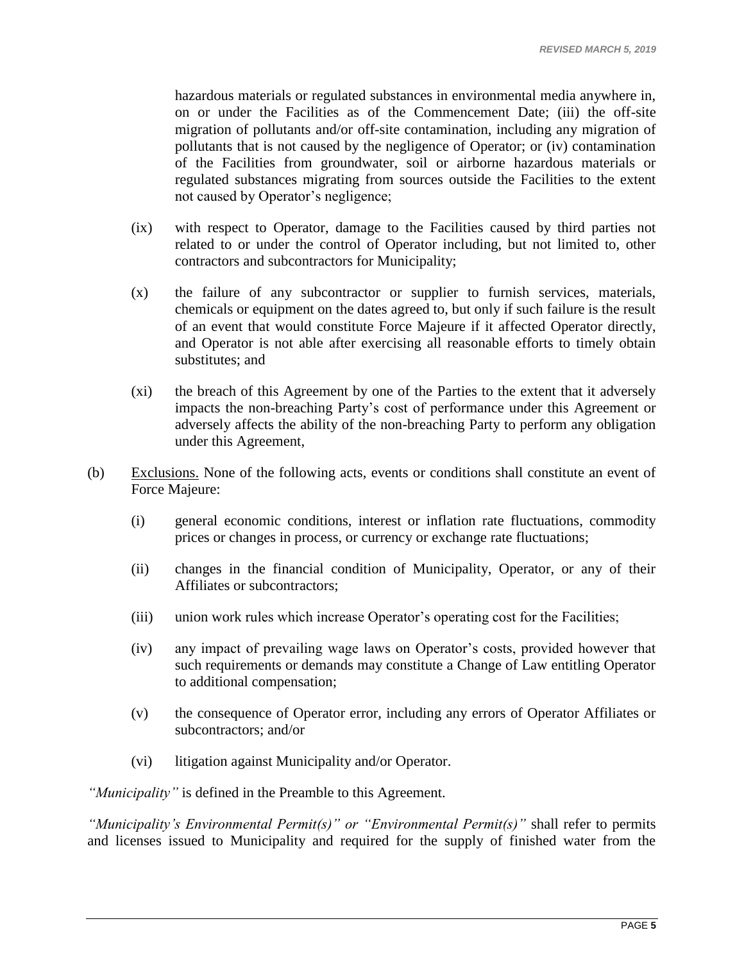hazardous materials or regulated substances in environmental media anywhere in, on or under the Facilities as of the Commencement Date; (iii) the off-site migration of pollutants and/or off-site contamination, including any migration of pollutants that is not caused by the negligence of Operator; or (iv) contamination of the Facilities from groundwater, soil or airborne hazardous materials or regulated substances migrating from sources outside the Facilities to the extent not caused by Operator's negligence;

- (ix) with respect to Operator, damage to the Facilities caused by third parties not related to or under the control of Operator including, but not limited to, other contractors and subcontractors for Municipality;
- (x) the failure of any subcontractor or supplier to furnish services, materials, chemicals or equipment on the dates agreed to, but only if such failure is the result of an event that would constitute Force Majeure if it affected Operator directly, and Operator is not able after exercising all reasonable efforts to timely obtain substitutes; and
- (xi) the breach of this Agreement by one of the Parties to the extent that it adversely impacts the non-breaching Party's cost of performance under this Agreement or adversely affects the ability of the non-breaching Party to perform any obligation under this Agreement,
- (b) Exclusions. None of the following acts, events or conditions shall constitute an event of Force Majeure:
	- (i) general economic conditions, interest or inflation rate fluctuations, commodity prices or changes in process, or currency or exchange rate fluctuations;
	- (ii) changes in the financial condition of Municipality, Operator, or any of their Affiliates or subcontractors;
	- (iii) union work rules which increase Operator's operating cost for the Facilities;
	- (iv) any impact of prevailing wage laws on Operator's costs, provided however that such requirements or demands may constitute a Change of Law entitling Operator to additional compensation;
	- (v) the consequence of Operator error, including any errors of Operator Affiliates or subcontractors; and/or
	- (vi) litigation against Municipality and/or Operator.

*"Municipality"* is defined in the Preamble to this Agreement.

*"Municipality's Environmental Permit(s)" or "Environmental Permit(s)"* shall refer to permits and licenses issued to Municipality and required for the supply of finished water from the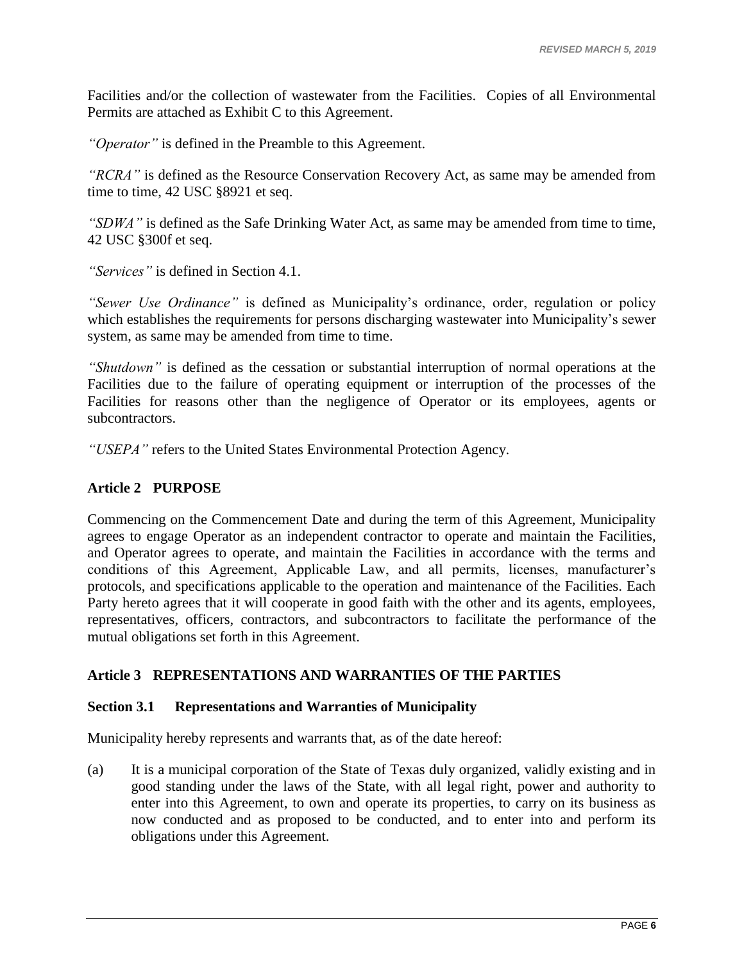Facilities and/or the collection of wastewater from the Facilities. Copies of all Environmental Permits are attached as Exhibit C to this Agreement.

*"Operator"* is defined in the Preamble to this Agreement.

*"RCRA"* is defined as the Resource Conservation Recovery Act, as same may be amended from time to time, 42 USC §8921 et seq.

*"SDWA"* is defined as the Safe Drinking Water Act, as same may be amended from time to time, 42 USC §300f et seq.

*"Services"* is defined in [Section 4.1.](#page-10-2)

*"Sewer Use Ordinance"* is defined as Municipality's ordinance, order, regulation or policy which establishes the requirements for persons discharging wastewater into Municipality's sewer system, as same may be amended from time to time.

*"Shutdown"* is defined as the cessation or substantial interruption of normal operations at the Facilities due to the failure of operating equipment or interruption of the processes of the Facilities for reasons other than the negligence of Operator or its employees, agents or subcontractors.

*"USEPA"* refers to the United States Environmental Protection Agency.

# <span id="page-8-0"></span>**Article 2 PURPOSE**

Commencing on the Commencement Date and during the term of this Agreement, Municipality agrees to engage Operator as an independent contractor to operate and maintain the Facilities, and Operator agrees to operate, and maintain the Facilities in accordance with the terms and conditions of this Agreement, Applicable Law, and all permits, licenses, manufacturer's protocols, and specifications applicable to the operation and maintenance of the Facilities. Each Party hereto agrees that it will cooperate in good faith with the other and its agents, employees, representatives, officers, contractors, and subcontractors to facilitate the performance of the mutual obligations set forth in this Agreement.

# <span id="page-8-1"></span>**Article 3 REPRESENTATIONS AND WARRANTIES OF THE PARTIES**

#### <span id="page-8-2"></span>**Section 3.1 Representations and Warranties of Municipality**

Municipality hereby represents and warrants that, as of the date hereof:

(a) It is a municipal corporation of the State of Texas duly organized, validly existing and in good standing under the laws of the State, with all legal right, power and authority to enter into this Agreement, to own and operate its properties, to carry on its business as now conducted and as proposed to be conducted, and to enter into and perform its obligations under this Agreement.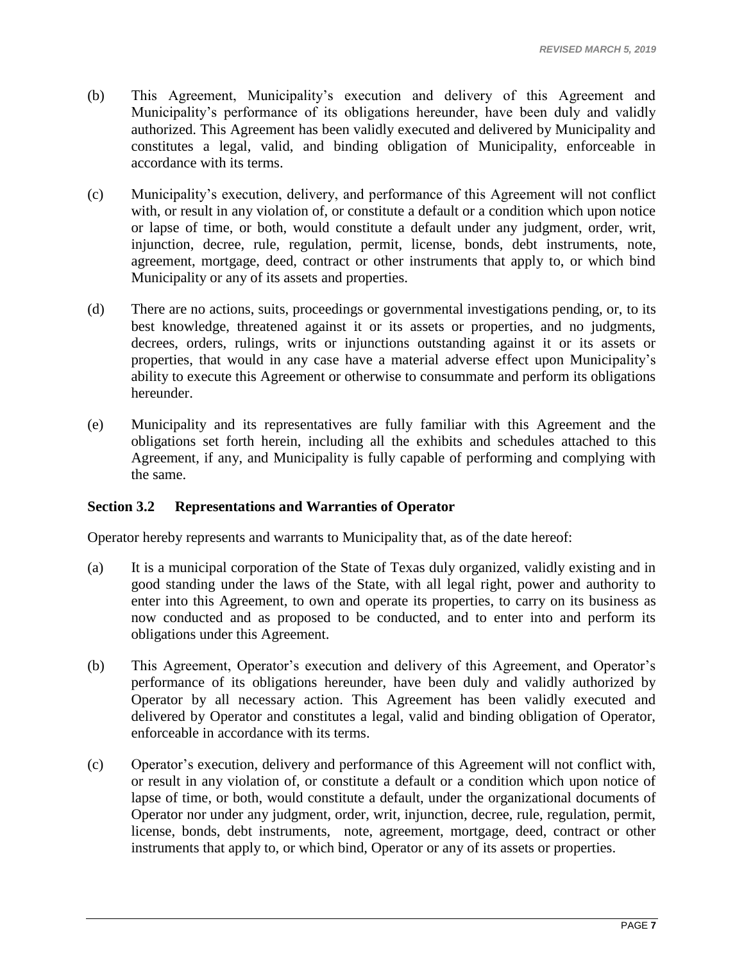- (b) This Agreement, Municipality's execution and delivery of this Agreement and Municipality's performance of its obligations hereunder, have been duly and validly authorized. This Agreement has been validly executed and delivered by Municipality and constitutes a legal, valid, and binding obligation of Municipality, enforceable in accordance with its terms.
- (c) Municipality's execution, delivery, and performance of this Agreement will not conflict with, or result in any violation of, or constitute a default or a condition which upon notice or lapse of time, or both, would constitute a default under any judgment, order, writ, injunction, decree, rule, regulation, permit, license, bonds, debt instruments, note, agreement, mortgage, deed, contract or other instruments that apply to, or which bind Municipality or any of its assets and properties.
- (d) There are no actions, suits, proceedings or governmental investigations pending, or, to its best knowledge, threatened against it or its assets or properties, and no judgments, decrees, orders, rulings, writs or injunctions outstanding against it or its assets or properties, that would in any case have a material adverse effect upon Municipality's ability to execute this Agreement or otherwise to consummate and perform its obligations hereunder.
- (e) Municipality and its representatives are fully familiar with this Agreement and the obligations set forth herein, including all the exhibits and schedules attached to this Agreement, if any, and Municipality is fully capable of performing and complying with the same.

# <span id="page-9-0"></span>**Section 3.2 Representations and Warranties of Operator**

Operator hereby represents and warrants to Municipality that, as of the date hereof:

- (a) It is a municipal corporation of the State of Texas duly organized, validly existing and in good standing under the laws of the State, with all legal right, power and authority to enter into this Agreement, to own and operate its properties, to carry on its business as now conducted and as proposed to be conducted, and to enter into and perform its obligations under this Agreement.
- (b) This Agreement, Operator's execution and delivery of this Agreement, and Operator's performance of its obligations hereunder, have been duly and validly authorized by Operator by all necessary action. This Agreement has been validly executed and delivered by Operator and constitutes a legal, valid and binding obligation of Operator, enforceable in accordance with its terms.
- (c) Operator's execution, delivery and performance of this Agreement will not conflict with, or result in any violation of, or constitute a default or a condition which upon notice of lapse of time, or both, would constitute a default, under the organizational documents of Operator nor under any judgment, order, writ, injunction, decree, rule, regulation, permit, license, bonds, debt instruments, note, agreement, mortgage, deed, contract or other instruments that apply to, or which bind, Operator or any of its assets or properties.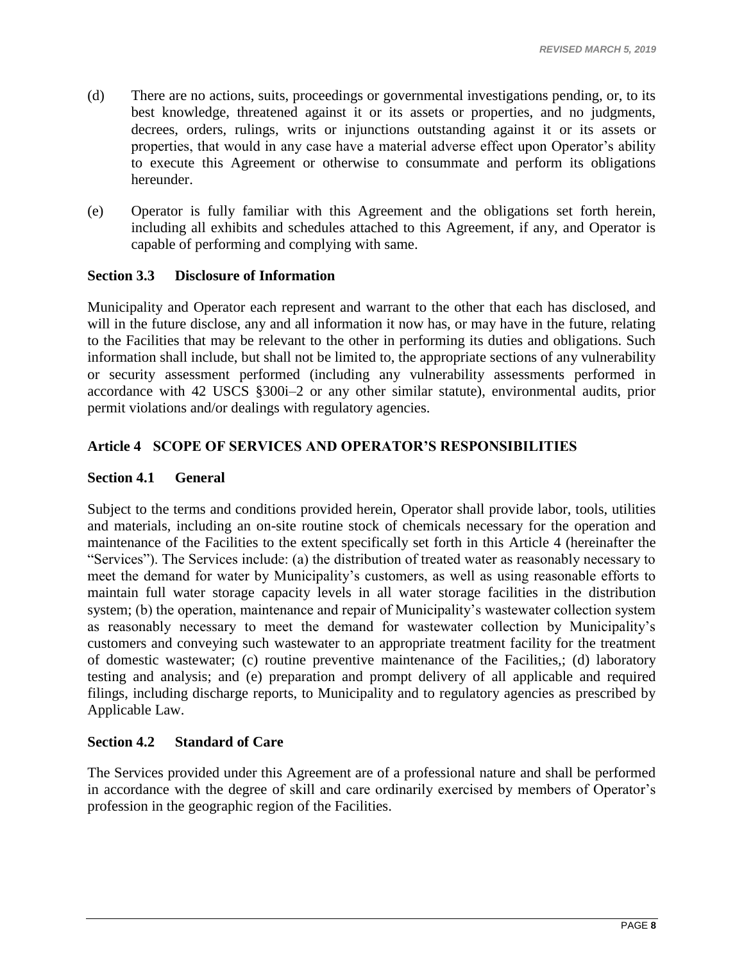- (d) There are no actions, suits, proceedings or governmental investigations pending, or, to its best knowledge, threatened against it or its assets or properties, and no judgments, decrees, orders, rulings, writs or injunctions outstanding against it or its assets or properties, that would in any case have a material adverse effect upon Operator's ability to execute this Agreement or otherwise to consummate and perform its obligations hereunder.
- (e) Operator is fully familiar with this Agreement and the obligations set forth herein, including all exhibits and schedules attached to this Agreement, if any, and Operator is capable of performing and complying with same.

# <span id="page-10-0"></span>**Section 3.3 Disclosure of Information**

Municipality and Operator each represent and warrant to the other that each has disclosed, and will in the future disclose, any and all information it now has, or may have in the future, relating to the Facilities that may be relevant to the other in performing its duties and obligations. Such information shall include, but shall not be limited to, the appropriate sections of any vulnerability or security assessment performed (including any vulnerability assessments performed in accordance with 42 USCS §300i–2 or any other similar statute), environmental audits, prior permit violations and/or dealings with regulatory agencies.

# <span id="page-10-1"></span>**Article 4 SCOPE OF SERVICES AND OPERATOR'S RESPONSIBILITIES**

# <span id="page-10-2"></span>**Section 4.1 General**

Subject to the terms and conditions provided herein, Operator shall provide labor, tools, utilities and materials, including an on-site routine stock of chemicals necessary for the operation and maintenance of the Facilities to the extent specifically set forth in this [Article 4](#page-10-1) (hereinafter the "Services"). The Services include: (a) the distribution of treated water as reasonably necessary to meet the demand for water by Municipality's customers, as well as using reasonable efforts to maintain full water storage capacity levels in all water storage facilities in the distribution system; (b) the operation, maintenance and repair of Municipality's wastewater collection system as reasonably necessary to meet the demand for wastewater collection by Municipality's customers and conveying such wastewater to an appropriate treatment facility for the treatment of domestic wastewater; (c) routine preventive maintenance of the Facilities,; (d) laboratory testing and analysis; and (e) preparation and prompt delivery of all applicable and required filings, including discharge reports, to Municipality and to regulatory agencies as prescribed by Applicable Law.

# <span id="page-10-3"></span>**Section 4.2 Standard of Care**

The Services provided under this Agreement are of a professional nature and shall be performed in accordance with the degree of skill and care ordinarily exercised by members of Operator's profession in the geographic region of the Facilities.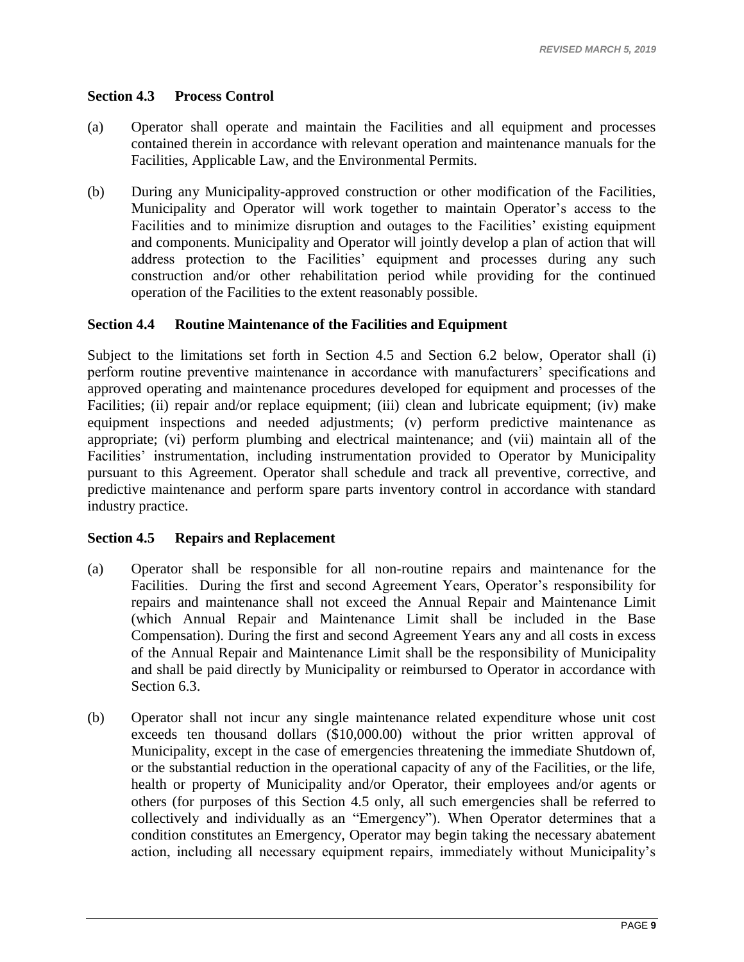# <span id="page-11-0"></span>**Section 4.3 Process Control**

- (a) Operator shall operate and maintain the Facilities and all equipment and processes contained therein in accordance with relevant operation and maintenance manuals for the Facilities, Applicable Law, and the Environmental Permits.
- (b) During any Municipality-approved construction or other modification of the Facilities, Municipality and Operator will work together to maintain Operator's access to the Facilities and to minimize disruption and outages to the Facilities' existing equipment and components. Municipality and Operator will jointly develop a plan of action that will address protection to the Facilities' equipment and processes during any such construction and/or other rehabilitation period while providing for the continued operation of the Facilities to the extent reasonably possible.

#### <span id="page-11-1"></span>**Section 4.4 Routine Maintenance of the Facilities and Equipment**

Subject to the limitations set forth in [Section 4.5](#page-11-2) and [Section 6.2](#page-20-0) below, Operator shall (i) perform routine preventive maintenance in accordance with manufacturers' specifications and approved operating and maintenance procedures developed for equipment and processes of the Facilities; (ii) repair and/or replace equipment; (iii) clean and lubricate equipment; (iv) make equipment inspections and needed adjustments; (v) perform predictive maintenance as appropriate; (vi) perform plumbing and electrical maintenance; and (vii) maintain all of the Facilities' instrumentation, including instrumentation provided to Operator by Municipality pursuant to this Agreement. Operator shall schedule and track all preventive, corrective, and predictive maintenance and perform spare parts inventory control in accordance with standard industry practice.

#### <span id="page-11-2"></span>**Section 4.5 Repairs and Replacement**

- (a) Operator shall be responsible for all non-routine repairs and maintenance for the Facilities. During the first and second Agreement Years, Operator's responsibility for repairs and maintenance shall not exceed the Annual Repair and Maintenance Limit (which Annual Repair and Maintenance Limit shall be included in the Base Compensation). During the first and second Agreement Years any and all costs in excess of the Annual Repair and Maintenance Limit shall be the responsibility of Municipality and shall be paid directly by Municipality or reimbursed to Operator in accordance with Section 6.3.
- <span id="page-11-3"></span>(b) Operator shall not incur any single maintenance related expenditure whose unit cost exceeds ten thousand dollars (\$10,000.00) without the prior written approval of Municipality, except in the case of emergencies threatening the immediate Shutdown of, or the substantial reduction in the operational capacity of any of the Facilities, or the life, health or property of Municipality and/or Operator, their employees and/or agents or others (for purposes of this [Section 4.5](#page-11-2) only, all such emergencies shall be referred to collectively and individually as an "Emergency"). When Operator determines that a condition constitutes an Emergency, Operator may begin taking the necessary abatement action, including all necessary equipment repairs, immediately without Municipality's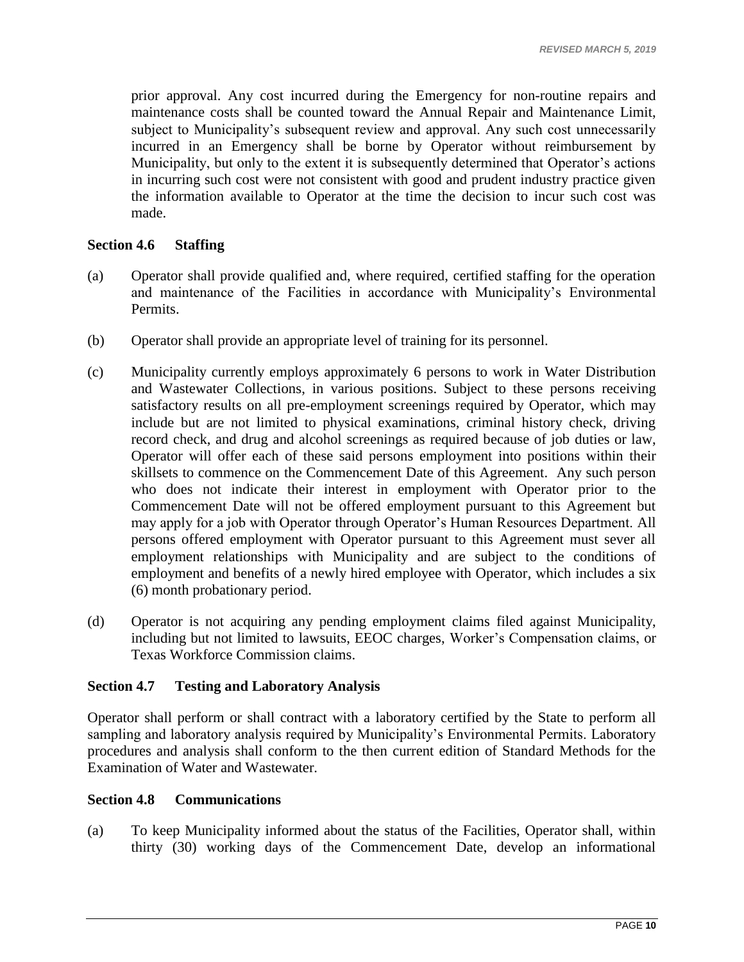prior approval. Any cost incurred during the Emergency for non-routine repairs and maintenance costs shall be counted toward the Annual Repair and Maintenance Limit, subject to Municipality's subsequent review and approval. Any such cost unnecessarily incurred in an Emergency shall be borne by Operator without reimbursement by Municipality, but only to the extent it is subsequently determined that Operator's actions in incurring such cost were not consistent with good and prudent industry practice given the information available to Operator at the time the decision to incur such cost was made.

#### <span id="page-12-0"></span>**Section 4.6 Staffing**

- (a) Operator shall provide qualified and, where required, certified staffing for the operation and maintenance of the Facilities in accordance with Municipality's Environmental Permits.
- (b) Operator shall provide an appropriate level of training for its personnel.
- (c) Municipality currently employs approximately 6 persons to work in Water Distribution and Wastewater Collections, in various positions. Subject to these persons receiving satisfactory results on all pre-employment screenings required by Operator, which may include but are not limited to physical examinations, criminal history check, driving record check, and drug and alcohol screenings as required because of job duties or law, Operator will offer each of these said persons employment into positions within their skillsets to commence on the Commencement Date of this Agreement. Any such person who does not indicate their interest in employment with Operator prior to the Commencement Date will not be offered employment pursuant to this Agreement but may apply for a job with Operator through Operator's Human Resources Department. All persons offered employment with Operator pursuant to this Agreement must sever all employment relationships with Municipality and are subject to the conditions of employment and benefits of a newly hired employee with Operator, which includes a six (6) month probationary period.
- (d) Operator is not acquiring any pending employment claims filed against Municipality, including but not limited to lawsuits, EEOC charges, Worker's Compensation claims, or Texas Workforce Commission claims.

#### <span id="page-12-1"></span>**Section 4.7 Testing and Laboratory Analysis**

Operator shall perform or shall contract with a laboratory certified by the State to perform all sampling and laboratory analysis required by Municipality's Environmental Permits. Laboratory procedures and analysis shall conform to the then current edition of Standard Methods for the Examination of Water and Wastewater.

#### <span id="page-12-2"></span>**Section 4.8 Communications**

(a) To keep Municipality informed about the status of the Facilities, Operator shall, within thirty (30) working days of the Commencement Date, develop an informational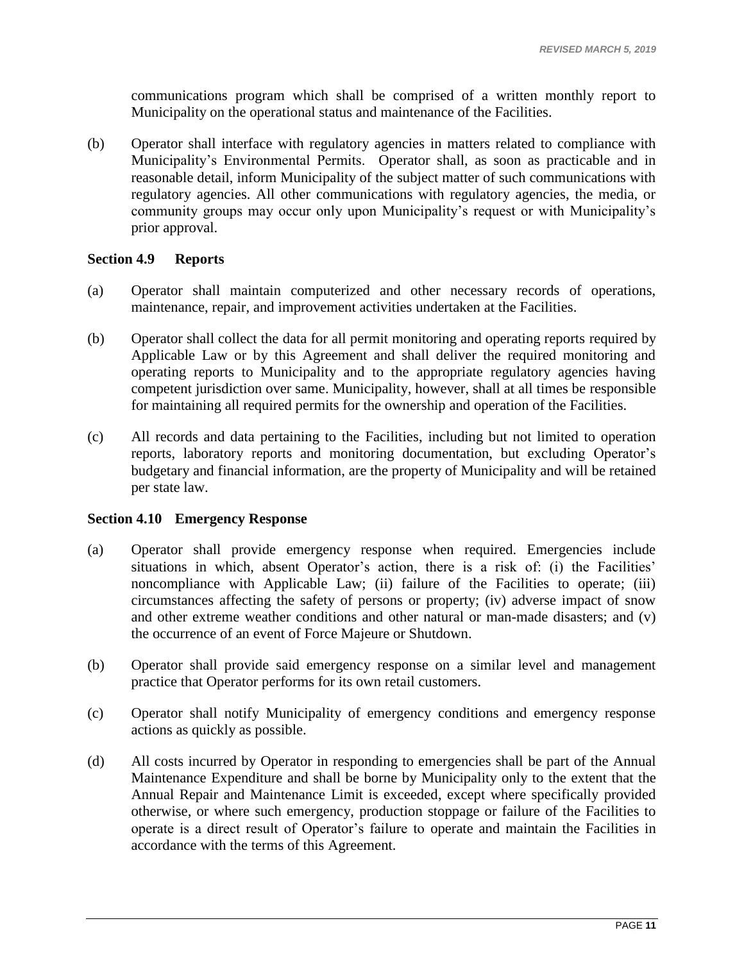communications program which shall be comprised of a written monthly report to Municipality on the operational status and maintenance of the Facilities.

(b) Operator shall interface with regulatory agencies in matters related to compliance with Municipality's Environmental Permits. Operator shall, as soon as practicable and in reasonable detail, inform Municipality of the subject matter of such communications with regulatory agencies. All other communications with regulatory agencies, the media, or community groups may occur only upon Municipality's request or with Municipality's prior approval.

#### <span id="page-13-0"></span>**Section 4.9 Reports**

- (a) Operator shall maintain computerized and other necessary records of operations, maintenance, repair, and improvement activities undertaken at the Facilities.
- (b) Operator shall collect the data for all permit monitoring and operating reports required by Applicable Law or by this Agreement and shall deliver the required monitoring and operating reports to Municipality and to the appropriate regulatory agencies having competent jurisdiction over same. Municipality, however, shall at all times be responsible for maintaining all required permits for the ownership and operation of the Facilities.
- (c) All records and data pertaining to the Facilities, including but not limited to operation reports, laboratory reports and monitoring documentation, but excluding Operator's budgetary and financial information, are the property of Municipality and will be retained per state law.

# <span id="page-13-1"></span>**Section 4.10 Emergency Response**

- (a) Operator shall provide emergency response when required. Emergencies include situations in which, absent Operator's action, there is a risk of: (i) the Facilities' noncompliance with Applicable Law; (ii) failure of the Facilities to operate; (iii) circumstances affecting the safety of persons or property; (iv) adverse impact of snow and other extreme weather conditions and other natural or man-made disasters; and (v) the occurrence of an event of Force Majeure or Shutdown.
- (b) Operator shall provide said emergency response on a similar level and management practice that Operator performs for its own retail customers.
- (c) Operator shall notify Municipality of emergency conditions and emergency response actions as quickly as possible.
- (d) All costs incurred by Operator in responding to emergencies shall be part of the Annual Maintenance Expenditure and shall be borne by Municipality only to the extent that the Annual Repair and Maintenance Limit is exceeded, except where specifically provided otherwise, or where such emergency, production stoppage or failure of the Facilities to operate is a direct result of Operator's failure to operate and maintain the Facilities in accordance with the terms of this Agreement.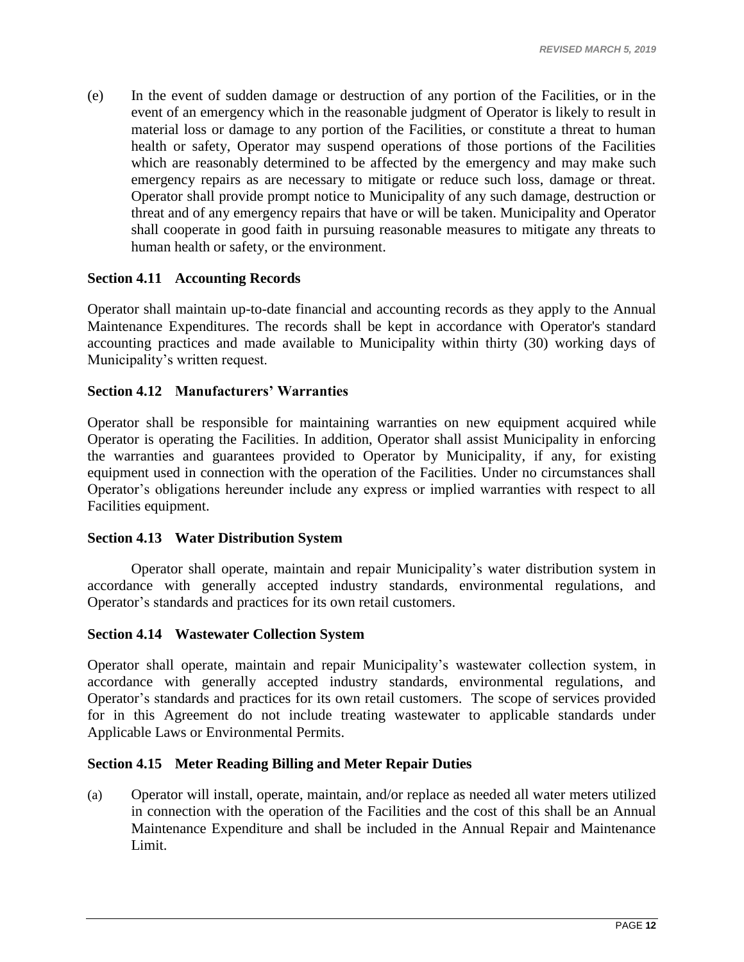(e) In the event of sudden damage or destruction of any portion of the Facilities, or in the event of an emergency which in the reasonable judgment of Operator is likely to result in material loss or damage to any portion of the Facilities, or constitute a threat to human health or safety, Operator may suspend operations of those portions of the Facilities which are reasonably determined to be affected by the emergency and may make such emergency repairs as are necessary to mitigate or reduce such loss, damage or threat. Operator shall provide prompt notice to Municipality of any such damage, destruction or threat and of any emergency repairs that have or will be taken. Municipality and Operator shall cooperate in good faith in pursuing reasonable measures to mitigate any threats to human health or safety, or the environment.

# <span id="page-14-0"></span>**Section 4.11 Accounting Records**

Operator shall maintain up-to-date financial and accounting records as they apply to the Annual Maintenance Expenditures. The records shall be kept in accordance with Operator's standard accounting practices and made available to Municipality within thirty (30) working days of Municipality's written request.

# <span id="page-14-1"></span>**Section 4.12 Manufacturers' Warranties**

Operator shall be responsible for maintaining warranties on new equipment acquired while Operator is operating the Facilities. In addition, Operator shall assist Municipality in enforcing the warranties and guarantees provided to Operator by Municipality, if any, for existing equipment used in connection with the operation of the Facilities. Under no circumstances shall Operator's obligations hereunder include any express or implied warranties with respect to all Facilities equipment.

# <span id="page-14-2"></span>**Section 4.13 Water Distribution System**

Operator shall operate, maintain and repair Municipality's water distribution system in accordance with generally accepted industry standards, environmental regulations, and Operator's standards and practices for its own retail customers.

# <span id="page-14-3"></span>**Section 4.14 Wastewater Collection System**

Operator shall operate, maintain and repair Municipality's wastewater collection system, in accordance with generally accepted industry standards, environmental regulations, and Operator's standards and practices for its own retail customers. The scope of services provided for in this Agreement do not include treating wastewater to applicable standards under Applicable Laws or Environmental Permits.

#### <span id="page-14-4"></span>**Section 4.15 Meter Reading Billing and Meter Repair Duties**

(a) Operator will install, operate, maintain, and/or replace as needed all water meters utilized in connection with the operation of the Facilities and the cost of this shall be an Annual Maintenance Expenditure and shall be included in the Annual Repair and Maintenance Limit.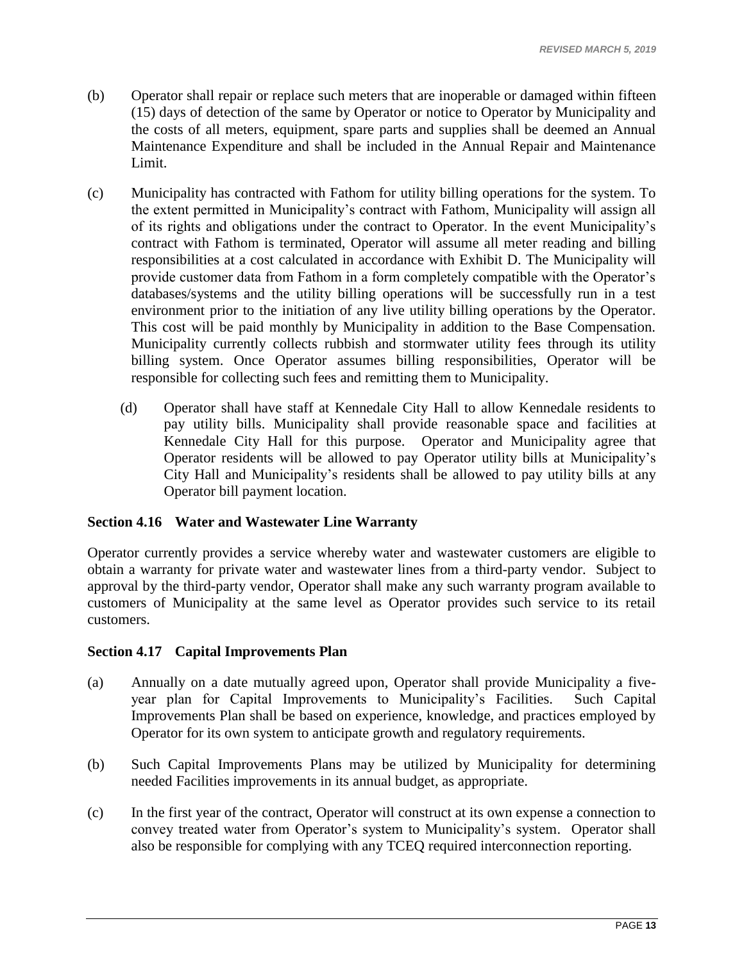- (b) Operator shall repair or replace such meters that are inoperable or damaged within fifteen (15) days of detection of the same by Operator or notice to Operator by Municipality and the costs of all meters, equipment, spare parts and supplies shall be deemed an Annual Maintenance Expenditure and shall be included in the Annual Repair and Maintenance Limit.
- (c) Municipality has contracted with Fathom for utility billing operations for the system. To the extent permitted in Municipality's contract with Fathom, Municipality will assign all of its rights and obligations under the contract to Operator. In the event Municipality's contract with Fathom is terminated, Operator will assume all meter reading and billing responsibilities at a cost calculated in accordance with Exhibit D. The Municipality will provide customer data from Fathom in a form completely compatible with the Operator's databases/systems and the utility billing operations will be successfully run in a test environment prior to the initiation of any live utility billing operations by the Operator. This cost will be paid monthly by Municipality in addition to the Base Compensation. Municipality currently collects rubbish and stormwater utility fees through its utility billing system. Once Operator assumes billing responsibilities, Operator will be responsible for collecting such fees and remitting them to Municipality.
	- (d) Operator shall have staff at Kennedale City Hall to allow Kennedale residents to pay utility bills. Municipality shall provide reasonable space and facilities at Kennedale City Hall for this purpose. Operator and Municipality agree that Operator residents will be allowed to pay Operator utility bills at Municipality's City Hall and Municipality's residents shall be allowed to pay utility bills at any Operator bill payment location.

# <span id="page-15-0"></span>**Section 4.16 Water and Wastewater Line Warranty**

Operator currently provides a service whereby water and wastewater customers are eligible to obtain a warranty for private water and wastewater lines from a third-party vendor. Subject to approval by the third-party vendor, Operator shall make any such warranty program available to customers of Municipality at the same level as Operator provides such service to its retail customers.

# <span id="page-15-1"></span>**Section 4.17 Capital Improvements Plan**

- (a) Annually on a date mutually agreed upon, Operator shall provide Municipality a fiveyear plan for Capital Improvements to Municipality's Facilities. Such Capital Improvements Plan shall be based on experience, knowledge, and practices employed by Operator for its own system to anticipate growth and regulatory requirements.
- (b) Such Capital Improvements Plans may be utilized by Municipality for determining needed Facilities improvements in its annual budget, as appropriate.
- (c) In the first year of the contract, Operator will construct at its own expense a connection to convey treated water from Operator's system to Municipality's system. Operator shall also be responsible for complying with any TCEQ required interconnection reporting.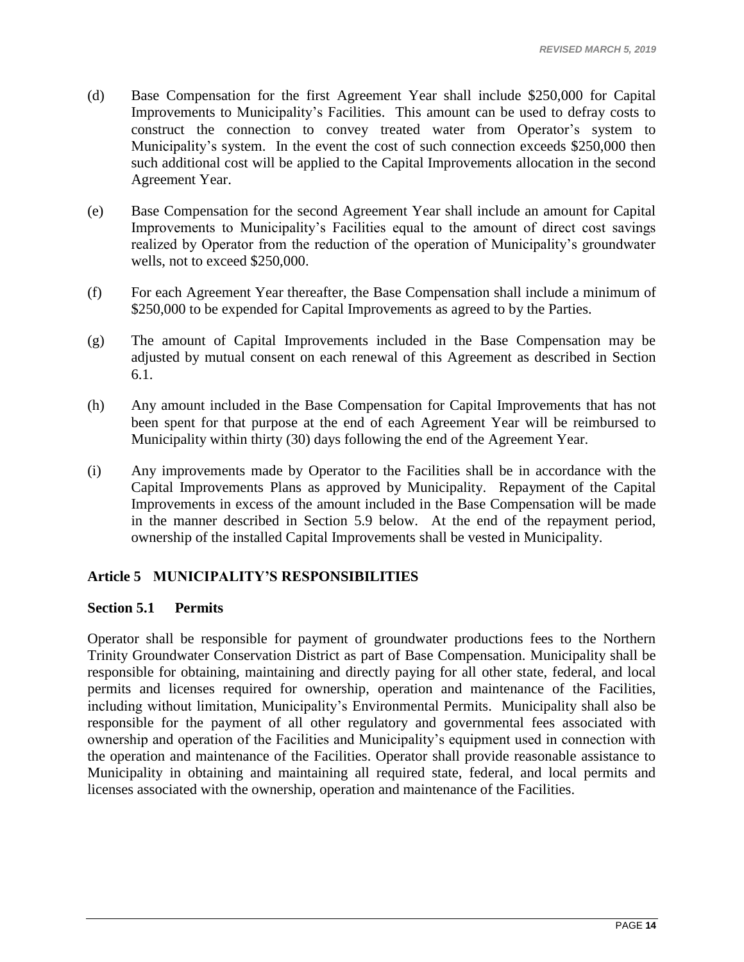- (d) Base Compensation for the first Agreement Year shall include \$250,000 for Capital Improvements to Municipality's Facilities. This amount can be used to defray costs to construct the connection to convey treated water from Operator's system to Municipality's system. In the event the cost of such connection exceeds \$250,000 then such additional cost will be applied to the Capital Improvements allocation in the second Agreement Year.
- (e) Base Compensation for the second Agreement Year shall include an amount for Capital Improvements to Municipality's Facilities equal to the amount of direct cost savings realized by Operator from the reduction of the operation of Municipality's groundwater wells, not to exceed \$250,000.
- (f) For each Agreement Year thereafter, the Base Compensation shall include a minimum of \$250,000 to be expended for Capital Improvements as agreed to by the Parties.
- (g) The amount of Capital Improvements included in the Base Compensation may be adjusted by mutual consent on each renewal of this Agreement as described in Section 6.1.
- (h) Any amount included in the Base Compensation for Capital Improvements that has not been spent for that purpose at the end of each Agreement Year will be reimbursed to Municipality within thirty (30) days following the end of the Agreement Year.
- (i) Any improvements made by Operator to the Facilities shall be in accordance with the Capital Improvements Plans as approved by Municipality. Repayment of the Capital Improvements in excess of the amount included in the Base Compensation will be made in the manner described in Section 5.9 below. At the end of the repayment period, ownership of the installed Capital Improvements shall be vested in Municipality.

# <span id="page-16-0"></span>**Article 5 MUNICIPALITY'S RESPONSIBILITIES**

#### <span id="page-16-1"></span>**Section 5.1 Permits**

Operator shall be responsible for payment of groundwater productions fees to the Northern Trinity Groundwater Conservation District as part of Base Compensation. Municipality shall be responsible for obtaining, maintaining and directly paying for all other state, federal, and local permits and licenses required for ownership, operation and maintenance of the Facilities, including without limitation, Municipality's Environmental Permits. Municipality shall also be responsible for the payment of all other regulatory and governmental fees associated with ownership and operation of the Facilities and Municipality's equipment used in connection with the operation and maintenance of the Facilities. Operator shall provide reasonable assistance to Municipality in obtaining and maintaining all required state, federal, and local permits and licenses associated with the ownership, operation and maintenance of the Facilities.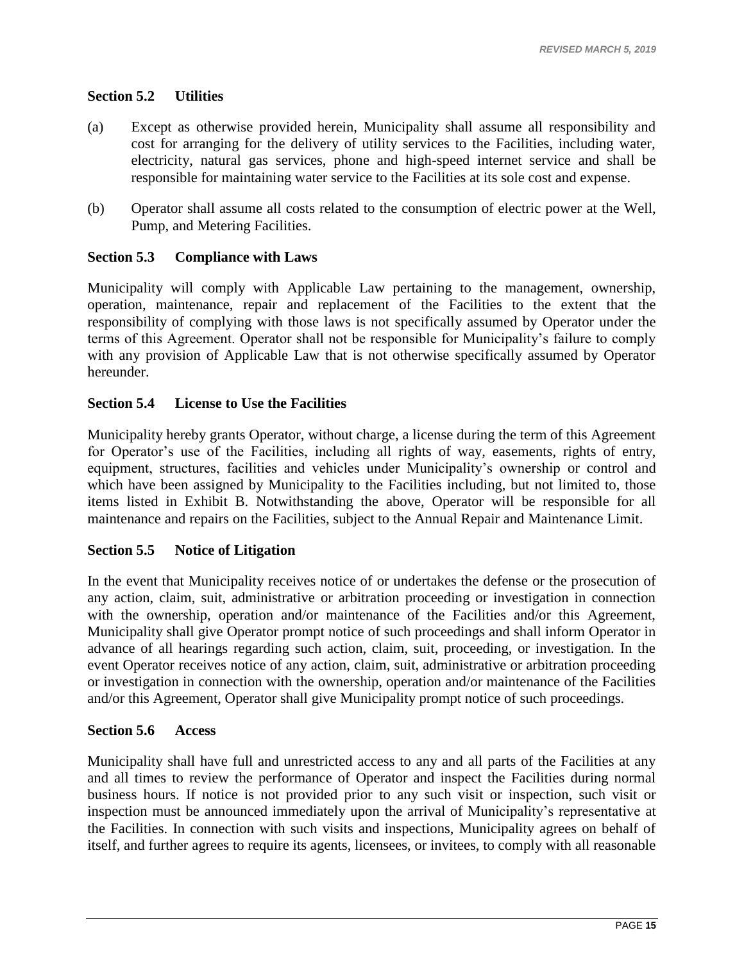# <span id="page-17-0"></span>**Section 5.2 Utilities**

- (a) Except as otherwise provided herein, Municipality shall assume all responsibility and cost for arranging for the delivery of utility services to the Facilities, including water, electricity, natural gas services, phone and high-speed internet service and shall be responsible for maintaining water service to the Facilities at its sole cost and expense.
- (b) Operator shall assume all costs related to the consumption of electric power at the Well, Pump, and Metering Facilities.

# <span id="page-17-1"></span>**Section 5.3 Compliance with Laws**

Municipality will comply with Applicable Law pertaining to the management, ownership, operation, maintenance, repair and replacement of the Facilities to the extent that the responsibility of complying with those laws is not specifically assumed by Operator under the terms of this Agreement. Operator shall not be responsible for Municipality's failure to comply with any provision of Applicable Law that is not otherwise specifically assumed by Operator hereunder.

# <span id="page-17-2"></span>**Section 5.4 License to Use the Facilities**

Municipality hereby grants Operator, without charge, a license during the term of this Agreement for Operator's use of the Facilities, including all rights of way, easements, rights of entry, equipment, structures, facilities and vehicles under Municipality's ownership or control and which have been assigned by Municipality to the Facilities including, but not limited to, those items listed in Exhibit B. Notwithstanding the above, Operator will be responsible for all maintenance and repairs on the Facilities, subject to the Annual Repair and Maintenance Limit.

# <span id="page-17-3"></span>**Section 5.5 Notice of Litigation**

In the event that Municipality receives notice of or undertakes the defense or the prosecution of any action, claim, suit, administrative or arbitration proceeding or investigation in connection with the ownership, operation and/or maintenance of the Facilities and/or this Agreement, Municipality shall give Operator prompt notice of such proceedings and shall inform Operator in advance of all hearings regarding such action, claim, suit, proceeding, or investigation. In the event Operator receives notice of any action, claim, suit, administrative or arbitration proceeding or investigation in connection with the ownership, operation and/or maintenance of the Facilities and/or this Agreement, Operator shall give Municipality prompt notice of such proceedings.

# <span id="page-17-4"></span>**Section 5.6 Access**

Municipality shall have full and unrestricted access to any and all parts of the Facilities at any and all times to review the performance of Operator and inspect the Facilities during normal business hours. If notice is not provided prior to any such visit or inspection, such visit or inspection must be announced immediately upon the arrival of Municipality's representative at the Facilities. In connection with such visits and inspections, Municipality agrees on behalf of itself, and further agrees to require its agents, licensees, or invitees, to comply with all reasonable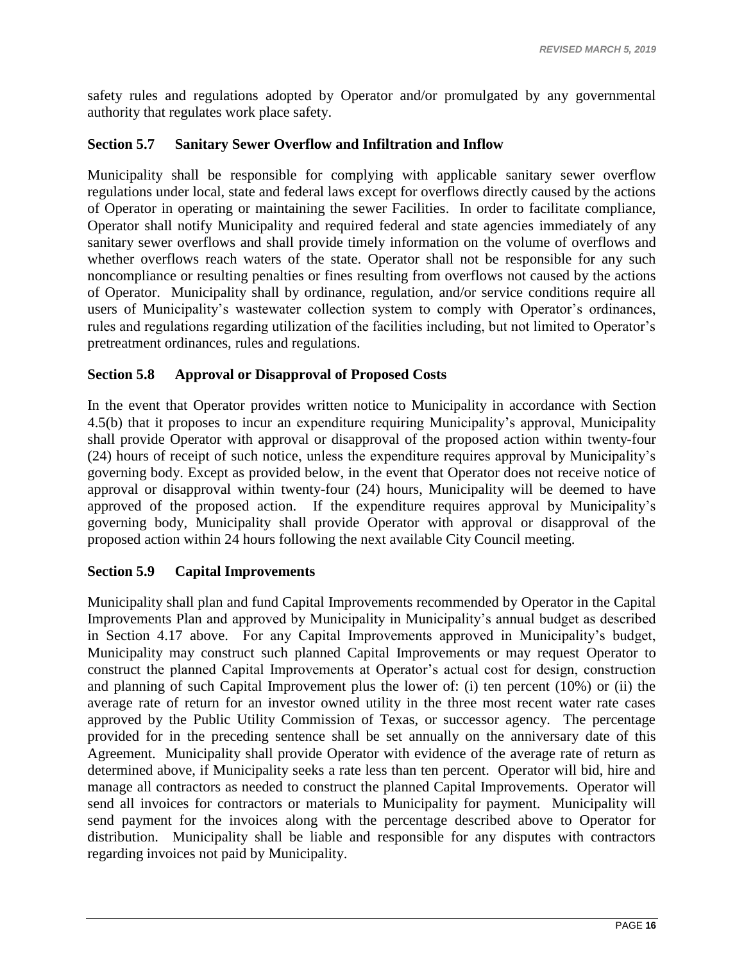safety rules and regulations adopted by Operator and/or promulgated by any governmental authority that regulates work place safety.

# <span id="page-18-0"></span>**Section 5.7 Sanitary Sewer Overflow and Infiltration and Inflow**

Municipality shall be responsible for complying with applicable sanitary sewer overflow regulations under local, state and federal laws except for overflows directly caused by the actions of Operator in operating or maintaining the sewer Facilities. In order to facilitate compliance, Operator shall notify Municipality and required federal and state agencies immediately of any sanitary sewer overflows and shall provide timely information on the volume of overflows and whether overflows reach waters of the state. Operator shall not be responsible for any such noncompliance or resulting penalties or fines resulting from overflows not caused by the actions of Operator. Municipality shall by ordinance, regulation, and/or service conditions require all users of Municipality's wastewater collection system to comply with Operator's ordinances, rules and regulations regarding utilization of the facilities including, but not limited to Operator's pretreatment ordinances, rules and regulations.

# <span id="page-18-1"></span>**Section 5.8 Approval or Disapproval of Proposed Costs**

In the event that Operator provides written notice to Municipality in accordance with [Section](#page-11-3)  [4.5\(b\)](#page-11-3) that it proposes to incur an expenditure requiring Municipality's approval, Municipality shall provide Operator with approval or disapproval of the proposed action within twenty-four (24) hours of receipt of such notice, unless the expenditure requires approval by Municipality's governing body. Except as provided below, in the event that Operator does not receive notice of approval or disapproval within twenty-four (24) hours, Municipality will be deemed to have approved of the proposed action. If the expenditure requires approval by Municipality's governing body, Municipality shall provide Operator with approval or disapproval of the proposed action within 24 hours following the next available City Council meeting.

# <span id="page-18-2"></span>**Section 5.9 Capital Improvements**

Municipality shall plan and fund Capital Improvements recommended by Operator in the Capital Improvements Plan and approved by Municipality in Municipality's annual budget as described in Section 4.17 above. For any Capital Improvements approved in Municipality's budget, Municipality may construct such planned Capital Improvements or may request Operator to construct the planned Capital Improvements at Operator's actual cost for design, construction and planning of such Capital Improvement plus the lower of: (i) ten percent (10%) or (ii) the average rate of return for an investor owned utility in the three most recent water rate cases approved by the Public Utility Commission of Texas, or successor agency. The percentage provided for in the preceding sentence shall be set annually on the anniversary date of this Agreement. Municipality shall provide Operator with evidence of the average rate of return as determined above, if Municipality seeks a rate less than ten percent. Operator will bid, hire and manage all contractors as needed to construct the planned Capital Improvements. Operator will send all invoices for contractors or materials to Municipality for payment. Municipality will send payment for the invoices along with the percentage described above to Operator for distribution. Municipality shall be liable and responsible for any disputes with contractors regarding invoices not paid by Municipality.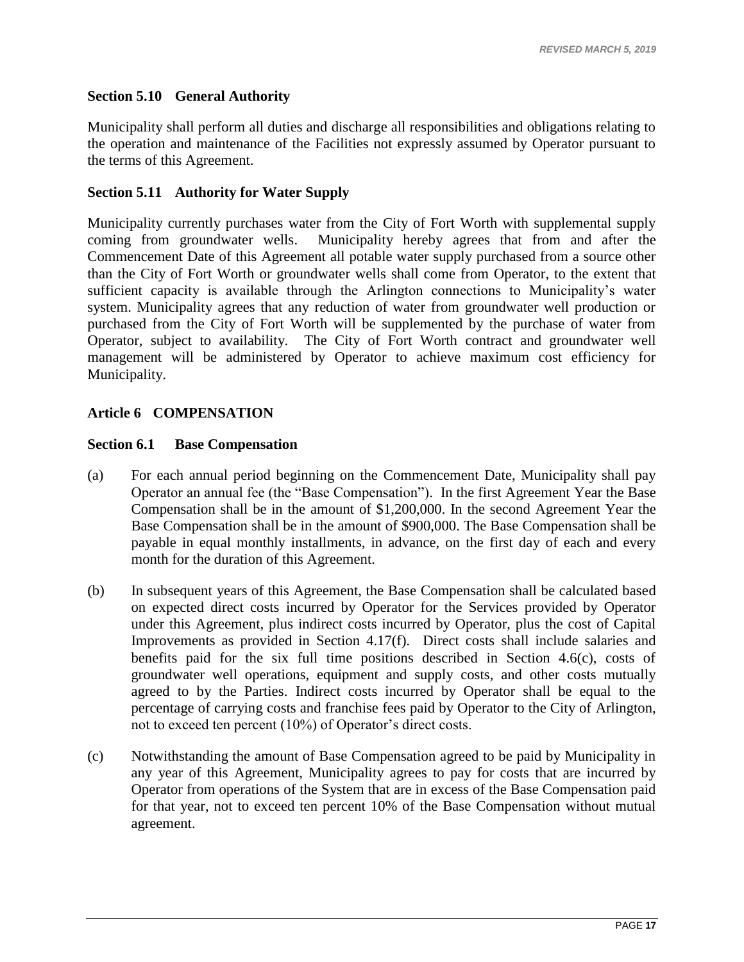# <span id="page-19-0"></span>**Section 5.10 General Authority**

Municipality shall perform all duties and discharge all responsibilities and obligations relating to the operation and maintenance of the Facilities not expressly assumed by Operator pursuant to the terms of this Agreement.

# <span id="page-19-1"></span>**Section 5.11 Authority for Water Supply**

Municipality currently purchases water from the City of Fort Worth with supplemental supply coming from groundwater wells. Municipality hereby agrees that from and after the Commencement Date of this Agreement all potable water supply purchased from a source other than the City of Fort Worth or groundwater wells shall come from Operator, to the extent that sufficient capacity is available through the Arlington connections to Municipality's water system. Municipality agrees that any reduction of water from groundwater well production or purchased from the City of Fort Worth will be supplemented by the purchase of water from Operator, subject to availability. The City of Fort Worth contract and groundwater well management will be administered by Operator to achieve maximum cost efficiency for Municipality.

# <span id="page-19-2"></span>**Article 6 COMPENSATION**

#### <span id="page-19-3"></span>**Section 6.1 Base Compensation**

- (a) For each annual period beginning on the Commencement Date, Municipality shall pay Operator an annual fee (the "Base Compensation"). In the first Agreement Year the Base Compensation shall be in the amount of \$1,200,000. In the second Agreement Year the Base Compensation shall be in the amount of \$900,000. The Base Compensation shall be payable in equal monthly installments, in advance, on the first day of each and every month for the duration of this Agreement.
- (b) In subsequent years of this Agreement, the Base Compensation shall be calculated based on expected direct costs incurred by Operator for the Services provided by Operator under this Agreement, plus indirect costs incurred by Operator, plus the cost of Capital Improvements as provided in Section 4.17(f). Direct costs shall include salaries and benefits paid for the six full time positions described in Section 4.6(c), costs of groundwater well operations, equipment and supply costs, and other costs mutually agreed to by the Parties. Indirect costs incurred by Operator shall be equal to the percentage of carrying costs and franchise fees paid by Operator to the City of Arlington, not to exceed ten percent (10%) of Operator's direct costs.
- (c) Notwithstanding the amount of Base Compensation agreed to be paid by Municipality in any year of this Agreement, Municipality agrees to pay for costs that are incurred by Operator from operations of the System that are in excess of the Base Compensation paid for that year, not to exceed ten percent 10% of the Base Compensation without mutual agreement.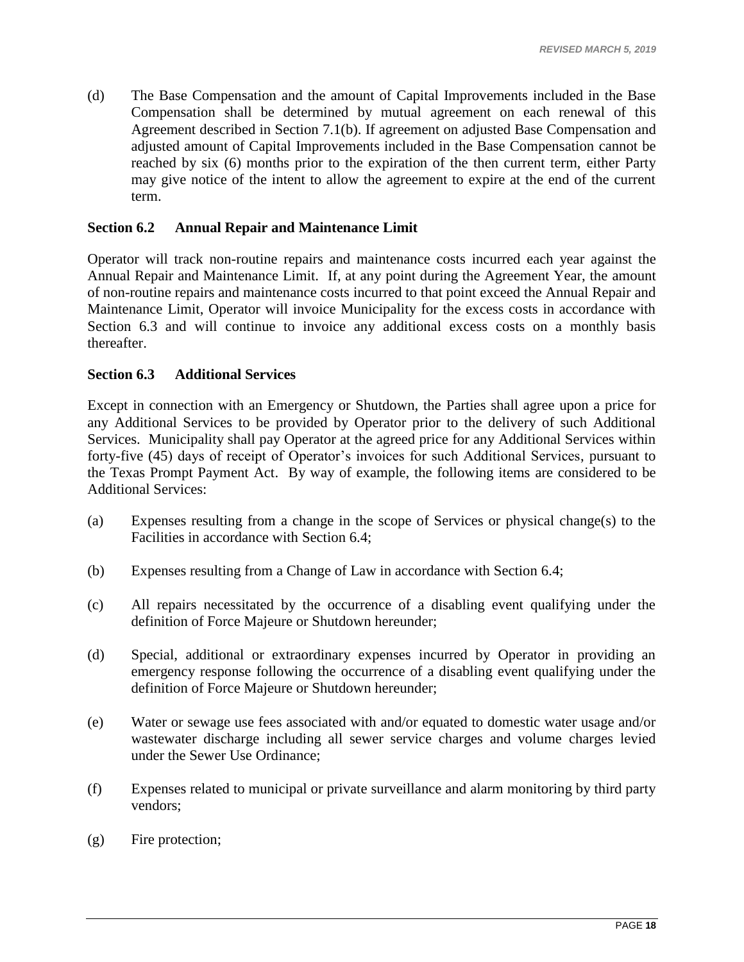(d) The Base Compensation and the amount of Capital Improvements included in the Base Compensation shall be determined by mutual agreement on each renewal of this Agreement described in Section 7.1(b). If agreement on adjusted Base Compensation and adjusted amount of Capital Improvements included in the Base Compensation cannot be reached by six (6) months prior to the expiration of the then current term, either Party may give notice of the intent to allow the agreement to expire at the end of the current term.

### <span id="page-20-0"></span>**Section 6.2 Annual Repair and Maintenance Limit**

Operator will track non-routine repairs and maintenance costs incurred each year against the Annual Repair and Maintenance Limit. If, at any point during the Agreement Year, the amount of non-routine repairs and maintenance costs incurred to that point exceed the Annual Repair and Maintenance Limit, Operator will invoice Municipality for the excess costs in accordance with Section 6.3 and will continue to invoice any additional excess costs on a monthly basis thereafter.

### <span id="page-20-1"></span>**Section 6.3 Additional Services**

Except in connection with an Emergency or Shutdown, the Parties shall agree upon a price for any Additional Services to be provided by Operator prior to the delivery of such Additional Services. Municipality shall pay Operator at the agreed price for any Additional Services within forty-five (45) days of receipt of Operator's invoices for such Additional Services, pursuant to the Texas Prompt Payment Act. By way of example, the following items are considered to be Additional Services:

- (a) Expenses resulting from a change in the scope of Services or physical change(s) to the Facilities in accordance with Section 6.4;
- (b) Expenses resulting from a Change of Law in accordance with Section 6.4;
- (c) All repairs necessitated by the occurrence of a disabling event qualifying under the definition of Force Majeure or Shutdown hereunder;
- (d) Special, additional or extraordinary expenses incurred by Operator in providing an emergency response following the occurrence of a disabling event qualifying under the definition of Force Majeure or Shutdown hereunder;
- (e) Water or sewage use fees associated with and/or equated to domestic water usage and/or wastewater discharge including all sewer service charges and volume charges levied under the Sewer Use Ordinance;
- (f) Expenses related to municipal or private surveillance and alarm monitoring by third party vendors;
- (g) Fire protection;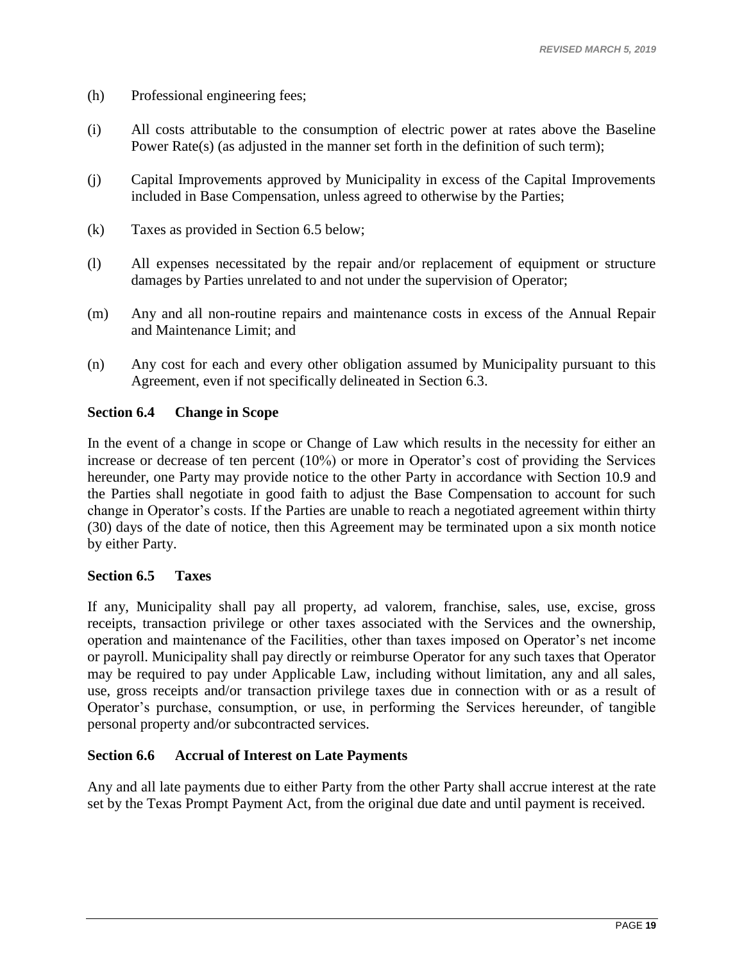- (h) Professional engineering fees;
- (i) All costs attributable to the consumption of electric power at rates above the Baseline Power Rate(s) (as adjusted in the manner set forth in the definition of such term);
- (j) Capital Improvements approved by Municipality in excess of the Capital Improvements included in Base Compensation, unless agreed to otherwise by the Parties;
- (k) Taxes as provided in Section 6.5 below;
- (l) All expenses necessitated by the repair and/or replacement of equipment or structure damages by Parties unrelated to and not under the supervision of Operator;
- (m) Any and all non-routine repairs and maintenance costs in excess of the Annual Repair and Maintenance Limit; and
- (n) Any cost for each and every other obligation assumed by Municipality pursuant to this Agreement, even if not specifically delineated in Section 6.3.

# <span id="page-21-0"></span>**Section 6.4 Change in Scope**

In the event of a change in scope or Change of Law which results in the necessity for either an increase or decrease of ten percent (10%) or more in Operator's cost of providing the Services hereunder, one Party may provide notice to the other Party in accordance with Section 10.9 and the Parties shall negotiate in good faith to adjust the Base Compensation to account for such change in Operator's costs. If the Parties are unable to reach a negotiated agreement within thirty (30) days of the date of notice, then this Agreement may be terminated upon a six month notice by either Party.

# <span id="page-21-1"></span>**Section 6.5 Taxes**

If any, Municipality shall pay all property, ad valorem, franchise, sales, use, excise, gross receipts, transaction privilege or other taxes associated with the Services and the ownership, operation and maintenance of the Facilities, other than taxes imposed on Operator's net income or payroll. Municipality shall pay directly or reimburse Operator for any such taxes that Operator may be required to pay under Applicable Law, including without limitation, any and all sales, use, gross receipts and/or transaction privilege taxes due in connection with or as a result of Operator's purchase, consumption, or use, in performing the Services hereunder, of tangible personal property and/or subcontracted services.

# <span id="page-21-2"></span>**Section 6.6 Accrual of Interest on Late Payments**

Any and all late payments due to either Party from the other Party shall accrue interest at the rate set by the Texas Prompt Payment Act, from the original due date and until payment is received.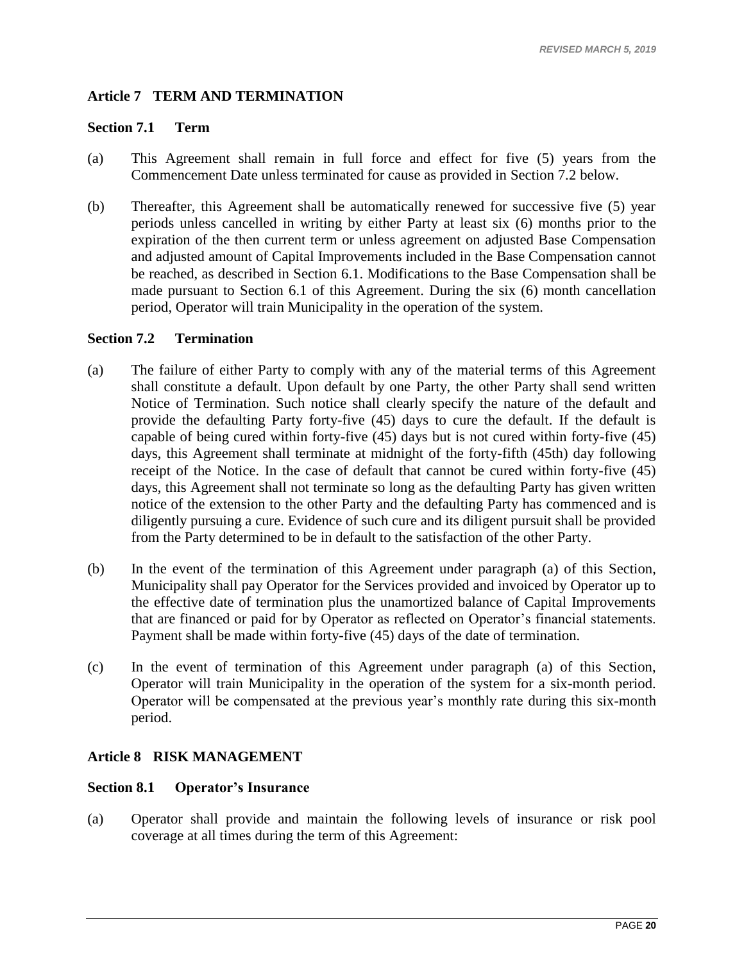# <span id="page-22-0"></span>**Article 7 TERM AND TERMINATION**

# <span id="page-22-1"></span>**Section 7.1 Term**

- (a) This Agreement shall remain in full force and effect for five (5) years from the Commencement Date unless terminated for cause as provided in [Section 7.2](#page-22-2) below.
- (b) Thereafter, this Agreement shall be automatically renewed for successive five (5) year periods unless cancelled in writing by either Party at least six (6) months prior to the expiration of the then current term or unless agreement on adjusted Base Compensation and adjusted amount of Capital Improvements included in the Base Compensation cannot be reached, as described in Section 6.1. Modifications to the Base Compensation shall be made pursuant to [Section 6.1](#page-19-3) of this Agreement. During the six (6) month cancellation period, Operator will train Municipality in the operation of the system.

#### <span id="page-22-2"></span>**Section 7.2 Termination**

- (a) The failure of either Party to comply with any of the material terms of this Agreement shall constitute a default. Upon default by one Party, the other Party shall send written Notice of Termination. Such notice shall clearly specify the nature of the default and provide the defaulting Party forty-five (45) days to cure the default. If the default is capable of being cured within forty-five (45) days but is not cured within forty-five (45) days, this Agreement shall terminate at midnight of the forty-fifth (45th) day following receipt of the Notice. In the case of default that cannot be cured within forty-five (45) days, this Agreement shall not terminate so long as the defaulting Party has given written notice of the extension to the other Party and the defaulting Party has commenced and is diligently pursuing a cure. Evidence of such cure and its diligent pursuit shall be provided from the Party determined to be in default to the satisfaction of the other Party.
- (b) In the event of the termination of this Agreement under paragraph (a) of this Section, Municipality shall pay Operator for the Services provided and invoiced by Operator up to the effective date of termination plus the unamortized balance of Capital Improvements that are financed or paid for by Operator as reflected on Operator's financial statements. Payment shall be made within forty-five (45) days of the date of termination.
- (c) In the event of termination of this Agreement under paragraph (a) of this Section, Operator will train Municipality in the operation of the system for a six-month period. Operator will be compensated at the previous year's monthly rate during this six-month period.

# <span id="page-22-3"></span>**Article 8 RISK MANAGEMENT**

# <span id="page-22-4"></span>**Section 8.1 Operator's Insurance**

(a) Operator shall provide and maintain the following levels of insurance or risk pool coverage at all times during the term of this Agreement: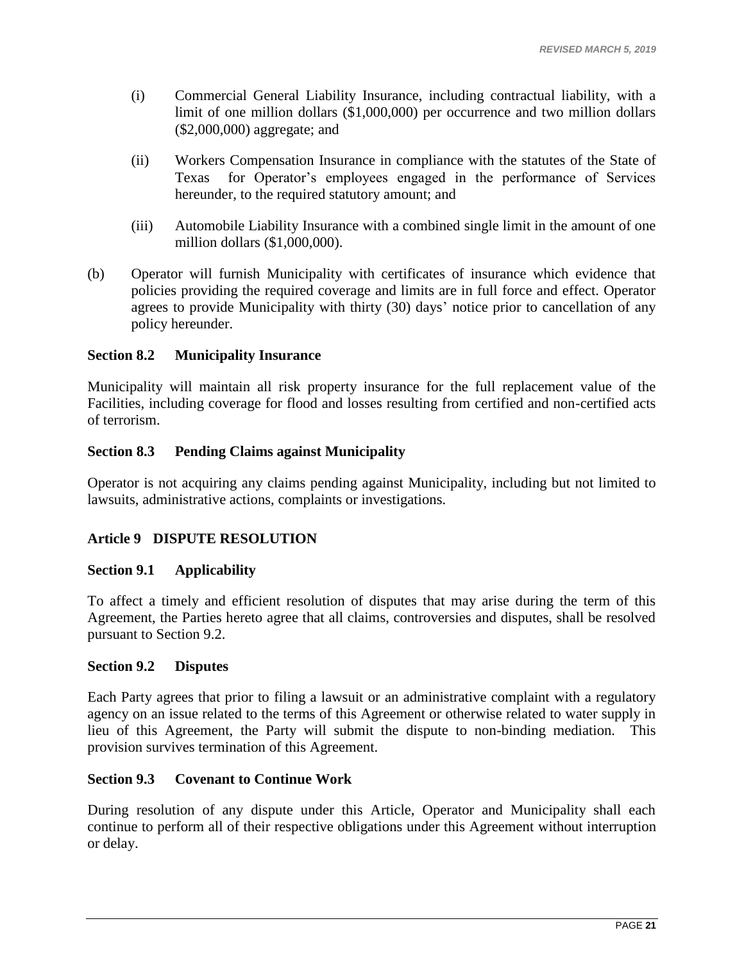- (i) Commercial General Liability Insurance, including contractual liability, with a limit of one million dollars (\$1,000,000) per occurrence and two million dollars (\$2,000,000) aggregate; and
- (ii) Workers Compensation Insurance in compliance with the statutes of the State of Texas for Operator's employees engaged in the performance of Services hereunder, to the required statutory amount; and
- (iii) Automobile Liability Insurance with a combined single limit in the amount of one million dollars (\$1,000,000).
- (b) Operator will furnish Municipality with certificates of insurance which evidence that policies providing the required coverage and limits are in full force and effect. Operator agrees to provide Municipality with thirty (30) days' notice prior to cancellation of any policy hereunder.

# <span id="page-23-0"></span>**Section 8.2 Municipality Insurance**

Municipality will maintain all risk property insurance for the full replacement value of the Facilities, including coverage for flood and losses resulting from certified and non-certified acts of terrorism.

# **Section 8.3 Pending Claims against Municipality**

Operator is not acquiring any claims pending against Municipality, including but not limited to lawsuits, administrative actions, complaints or investigations.

# <span id="page-23-1"></span>**Article 9 DISPUTE RESOLUTION**

# <span id="page-23-2"></span>**Section 9.1 Applicability**

To affect a timely and efficient resolution of disputes that may arise during the term of this Agreement, the Parties hereto agree that all claims, controversies and disputes, shall be resolved pursuant to [Section 9.2.](#page-23-3)

# <span id="page-23-3"></span>**Section 9.2 Disputes**

Each Party agrees that prior to filing a lawsuit or an administrative complaint with a regulatory agency on an issue related to the terms of this Agreement or otherwise related to water supply in lieu of this Agreement, the Party will submit the dispute to non-binding mediation. This provision survives termination of this Agreement.

# <span id="page-23-4"></span>**Section 9.3 Covenant to Continue Work**

During resolution of any dispute under this Article, Operator and Municipality shall each continue to perform all of their respective obligations under this Agreement without interruption or delay.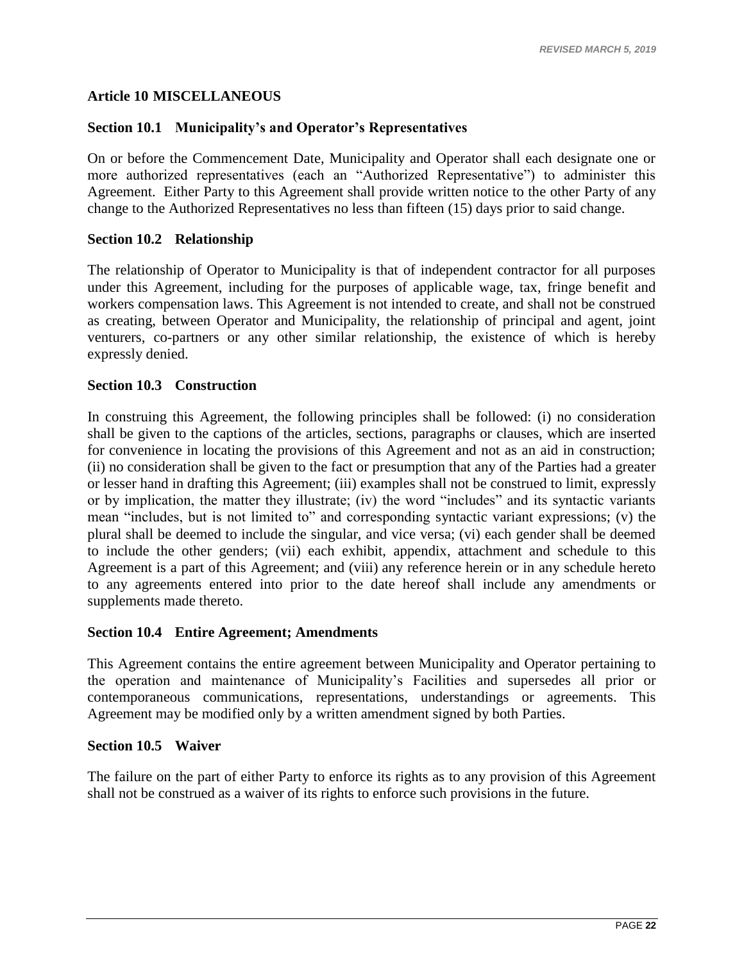### <span id="page-24-0"></span>**Article 10 MISCELLANEOUS**

### <span id="page-24-1"></span>**Section 10.1 Municipality's and Operator's Representatives**

On or before the Commencement Date, Municipality and Operator shall each designate one or more authorized representatives (each an "Authorized Representative") to administer this Agreement. Either Party to this Agreement shall provide written notice to the other Party of any change to the Authorized Representatives no less than fifteen (15) days prior to said change.

#### <span id="page-24-2"></span>**Section 10.2 Relationship**

The relationship of Operator to Municipality is that of independent contractor for all purposes under this Agreement, including for the purposes of applicable wage, tax, fringe benefit and workers compensation laws. This Agreement is not intended to create, and shall not be construed as creating, between Operator and Municipality, the relationship of principal and agent, joint venturers, co-partners or any other similar relationship, the existence of which is hereby expressly denied.

#### <span id="page-24-3"></span>**Section 10.3 Construction**

In construing this Agreement, the following principles shall be followed: (i) no consideration shall be given to the captions of the articles, sections, paragraphs or clauses, which are inserted for convenience in locating the provisions of this Agreement and not as an aid in construction; (ii) no consideration shall be given to the fact or presumption that any of the Parties had a greater or lesser hand in drafting this Agreement; (iii) examples shall not be construed to limit, expressly or by implication, the matter they illustrate; (iv) the word "includes" and its syntactic variants mean "includes, but is not limited to" and corresponding syntactic variant expressions; (v) the plural shall be deemed to include the singular, and vice versa; (vi) each gender shall be deemed to include the other genders; (vii) each exhibit, appendix, attachment and schedule to this Agreement is a part of this Agreement; and (viii) any reference herein or in any schedule hereto to any agreements entered into prior to the date hereof shall include any amendments or supplements made thereto.

#### <span id="page-24-4"></span>**Section 10.4 Entire Agreement; Amendments**

This Agreement contains the entire agreement between Municipality and Operator pertaining to the operation and maintenance of Municipality's Facilities and supersedes all prior or contemporaneous communications, representations, understandings or agreements. This Agreement may be modified only by a written amendment signed by both Parties.

#### <span id="page-24-5"></span>**Section 10.5 Waiver**

The failure on the part of either Party to enforce its rights as to any provision of this Agreement shall not be construed as a waiver of its rights to enforce such provisions in the future.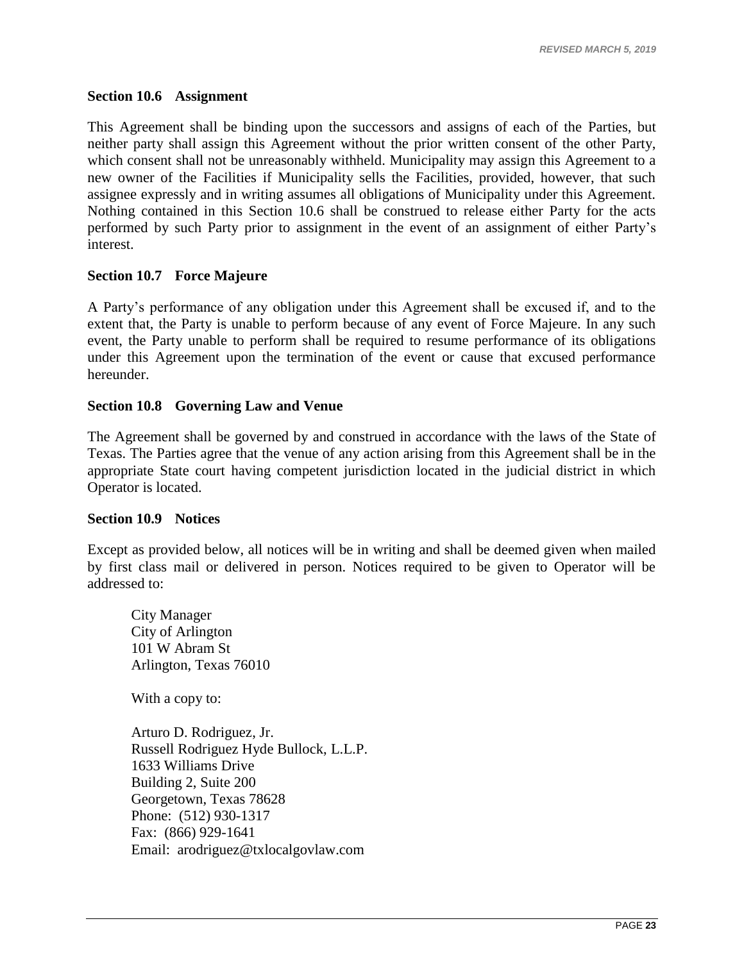#### <span id="page-25-0"></span>**Section 10.6 Assignment**

This Agreement shall be binding upon the successors and assigns of each of the Parties, but neither party shall assign this Agreement without the prior written consent of the other Party, which consent shall not be unreasonably withheld. Municipality may assign this Agreement to a new owner of the Facilities if Municipality sells the Facilities, provided, however, that such assignee expressly and in writing assumes all obligations of Municipality under this Agreement. Nothing contained in this [Section 10.6](#page-25-0) shall be construed to release either Party for the acts performed by such Party prior to assignment in the event of an assignment of either Party's interest.

#### <span id="page-25-1"></span>**Section 10.7 Force Majeure**

A Party's performance of any obligation under this Agreement shall be excused if, and to the extent that, the Party is unable to perform because of any event of Force Majeure. In any such event, the Party unable to perform shall be required to resume performance of its obligations under this Agreement upon the termination of the event or cause that excused performance hereunder.

#### <span id="page-25-2"></span>**Section 10.8 Governing Law and Venue**

The Agreement shall be governed by and construed in accordance with the laws of the State of Texas. The Parties agree that the venue of any action arising from this Agreement shall be in the appropriate State court having competent jurisdiction located in the judicial district in which Operator is located.

#### <span id="page-25-3"></span>**Section 10.9 Notices**

Except as provided below, all notices will be in writing and shall be deemed given when mailed by first class mail or delivered in person. Notices required to be given to Operator will be addressed to:

City Manager City of Arlington 101 W Abram St Arlington, Texas 76010 With a copy to:

Arturo D. Rodriguez, Jr. Russell Rodriguez Hyde Bullock, L.L.P. 1633 Williams Drive Building 2, Suite 200 Georgetown, Texas 78628 Phone: (512) 930-1317 Fax: (866) 929-1641 Email: arodriguez@txlocalgovlaw.com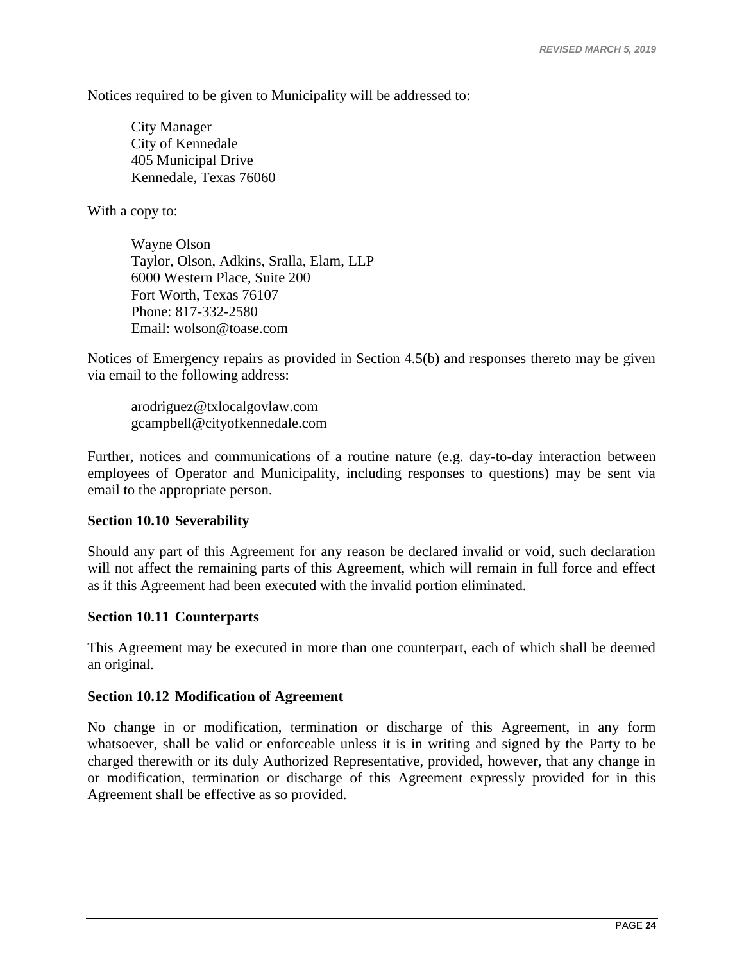Notices required to be given to Municipality will be addressed to:

City Manager City of Kennedale 405 Municipal Drive Kennedale, Texas 76060

With a copy to:

Wayne Olson Taylor, Olson, Adkins, Sralla, Elam, LLP 6000 Western Place, Suite 200 Fort Worth, Texas 76107 Phone: 817-332-2580 Email: wolson@toase.com

Notices of Emergency repairs as provided in Section 4.5(b) and responses thereto may be given via email to the following address:

[arodriguez@txlocalgovlaw.com](mailto:arodriguez@txlocalgovlaw.com) gcampbell@cityofkennedale.com

Further, notices and communications of a routine nature (e.g. day-to-day interaction between employees of Operator and Municipality, including responses to questions) may be sent via email to the appropriate person.

#### <span id="page-26-0"></span>**Section 10.10 Severability**

Should any part of this Agreement for any reason be declared invalid or void, such declaration will not affect the remaining parts of this Agreement, which will remain in full force and effect as if this Agreement had been executed with the invalid portion eliminated.

#### <span id="page-26-1"></span>**Section 10.11 Counterparts**

This Agreement may be executed in more than one counterpart, each of which shall be deemed an original.

#### <span id="page-26-2"></span>**Section 10.12 Modification of Agreement**

No change in or modification, termination or discharge of this Agreement, in any form whatsoever, shall be valid or enforceable unless it is in writing and signed by the Party to be charged therewith or its duly Authorized Representative, provided, however, that any change in or modification, termination or discharge of this Agreement expressly provided for in this Agreement shall be effective as so provided.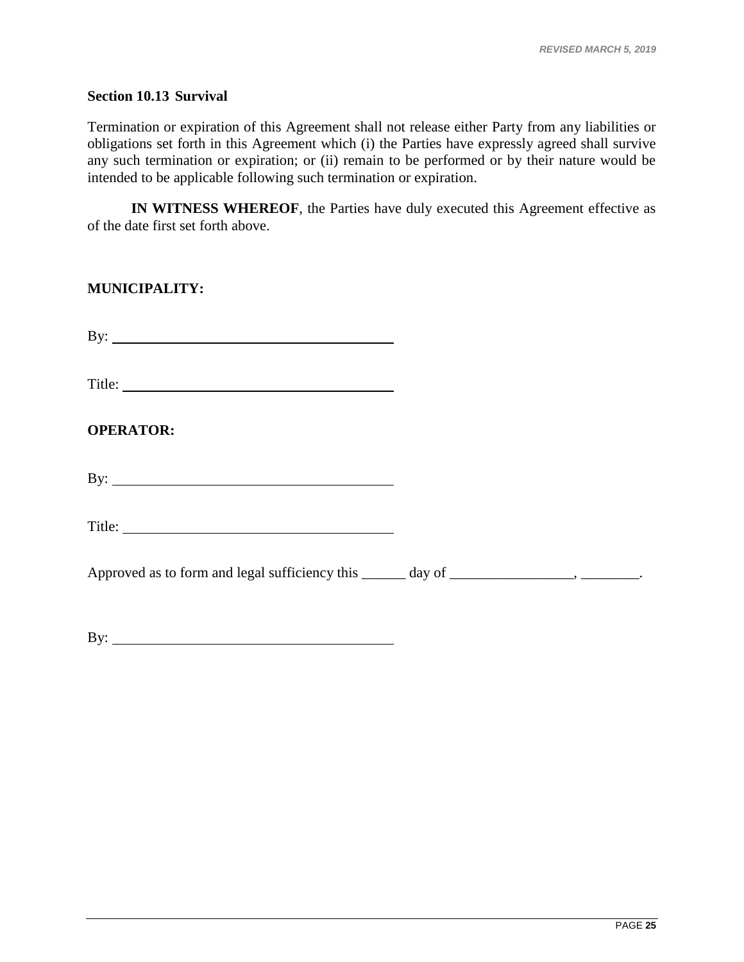#### <span id="page-27-0"></span>**Section 10.13 Survival**

Termination or expiration of this Agreement shall not release either Party from any liabilities or obligations set forth in this Agreement which (i) the Parties have expressly agreed shall survive any such termination or expiration; or (ii) remain to be performed or by their nature would be intended to be applicable following such termination or expiration.

**IN WITNESS WHEREOF**, the Parties have duly executed this Agreement effective as of the date first set forth above.

| <b>MUNICIPALITY:</b>                                                                        |  |
|---------------------------------------------------------------------------------------------|--|
| By: $\overline{\phantom{a}}$                                                                |  |
|                                                                                             |  |
| <b>OPERATOR:</b>                                                                            |  |
|                                                                                             |  |
|                                                                                             |  |
| Approved as to form and legal sufficiency this ______ day of _________________, __________. |  |
| By: $\qquad \qquad$                                                                         |  |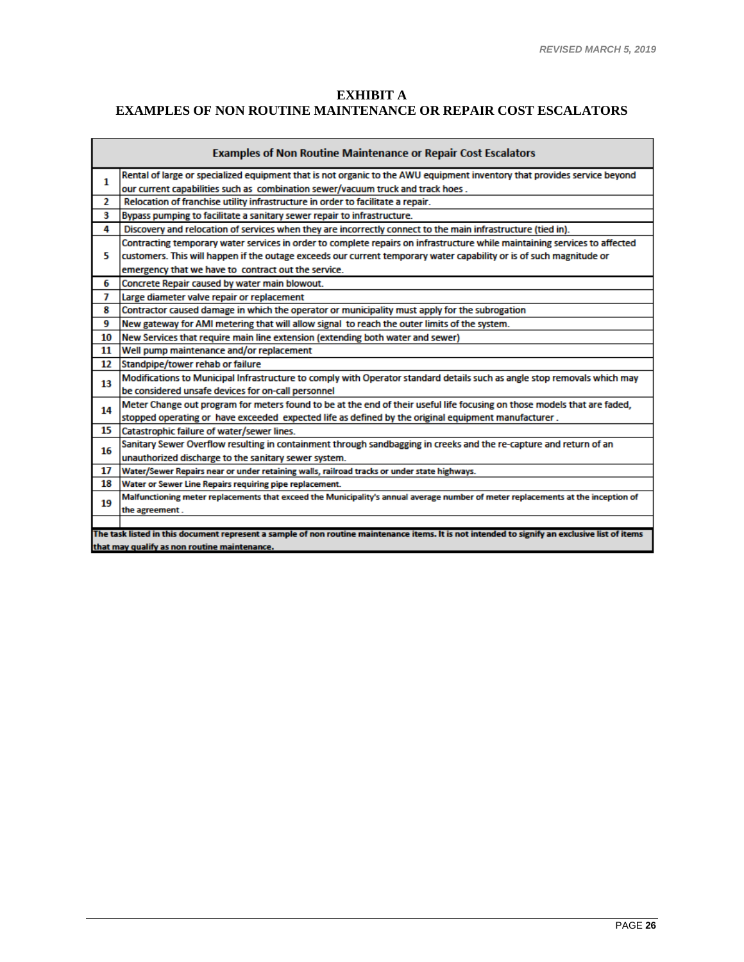$\overline{\phantom{a}}$ 

# **EXHIBIT A EXAMPLES OF NON ROUTINE MAINTENANCE OR REPAIR COST ESCALATORS**

| <b>Examples of Non Routine Maintenance or Repair Cost Escalators</b>                                                                           |                                                                                                                                  |  |  |  |
|------------------------------------------------------------------------------------------------------------------------------------------------|----------------------------------------------------------------------------------------------------------------------------------|--|--|--|
| 1                                                                                                                                              | Rental of large or specialized equipment that is not organic to the AWU equipment inventory that provides service beyond         |  |  |  |
|                                                                                                                                                | our current capabilities such as combination sewer/vacuum truck and track hoes.                                                  |  |  |  |
| 2                                                                                                                                              | Relocation of franchise utility infrastructure in order to facilitate a repair.                                                  |  |  |  |
| з                                                                                                                                              | Bypass pumping to facilitate a sanitary sewer repair to infrastructure.                                                          |  |  |  |
| 4                                                                                                                                              | Discovery and relocation of services when they are incorrectly connect to the main infrastructure (tied in).                     |  |  |  |
|                                                                                                                                                | Contracting temporary water services in order to complete repairs on infrastructure while maintaining services to affected       |  |  |  |
| 5                                                                                                                                              | customers. This will happen if the outage exceeds our current temporary water capability or is of such magnitude or              |  |  |  |
|                                                                                                                                                | emergency that we have to contract out the service.                                                                              |  |  |  |
| 6                                                                                                                                              | Concrete Repair caused by water main blowout.                                                                                    |  |  |  |
| 7                                                                                                                                              | Large diameter valve repair or replacement                                                                                       |  |  |  |
| 8                                                                                                                                              | Contractor caused damage in which the operator or municipality must apply for the subrogation                                    |  |  |  |
| 9                                                                                                                                              | New gateway for AMI metering that will allow signal to reach the outer limits of the system.                                     |  |  |  |
| 10                                                                                                                                             | New Services that require main line extension (extending both water and sewer)                                                   |  |  |  |
| 11                                                                                                                                             | Well pump maintenance and/or replacement                                                                                         |  |  |  |
| 12                                                                                                                                             | Standpipe/tower rehab or failure                                                                                                 |  |  |  |
| 13                                                                                                                                             | Modifications to Municipal Infrastructure to comply with Operator standard details such as angle stop removals which may         |  |  |  |
|                                                                                                                                                | be considered unsafe devices for on-call personnel                                                                               |  |  |  |
| 14                                                                                                                                             | Meter Change out program for meters found to be at the end of their useful life focusing on those models that are faded,         |  |  |  |
|                                                                                                                                                | stopped operating or have exceeded expected life as defined by the original equipment manufacturer.                              |  |  |  |
| 15                                                                                                                                             | Catastrophic failure of water/sewer lines.                                                                                       |  |  |  |
| 16                                                                                                                                             | Sanitary Sewer Overflow resulting in containment through sandbagging in creeks and the re-capture and return of an               |  |  |  |
|                                                                                                                                                | unauthorized discharge to the sanitary sewer system.                                                                             |  |  |  |
| 17                                                                                                                                             | Water/Sewer Repairs near or under retaining walls, railroad tracks or under state highways.                                      |  |  |  |
| 18                                                                                                                                             | Water or Sewer Line Repairs requiring pipe replacement.                                                                          |  |  |  |
| 19                                                                                                                                             | Malfunctioning meter replacements that exceed the Municipality's annual average number of meter replacements at the inception of |  |  |  |
|                                                                                                                                                | the agreement.                                                                                                                   |  |  |  |
|                                                                                                                                                |                                                                                                                                  |  |  |  |
| The task listed in this document represent a sample of non routine maintenance items. It is not intended to signify an exclusive list of items |                                                                                                                                  |  |  |  |
| that may qualify as non routine maintenance.                                                                                                   |                                                                                                                                  |  |  |  |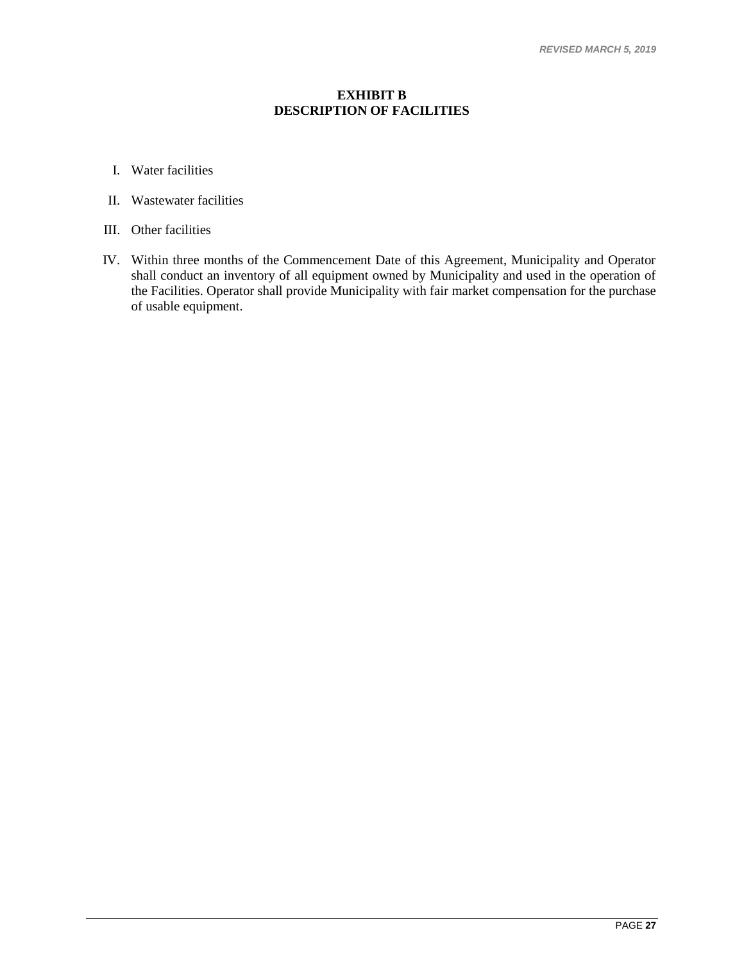#### **EXHIBIT B DESCRIPTION OF FACILITIES**

- I. Water facilities
- II. Wastewater facilities
- III. Other facilities
- IV. Within three months of the Commencement Date of this Agreement, Municipality and Operator shall conduct an inventory of all equipment owned by Municipality and used in the operation of the Facilities. Operator shall provide Municipality with fair market compensation for the purchase of usable equipment.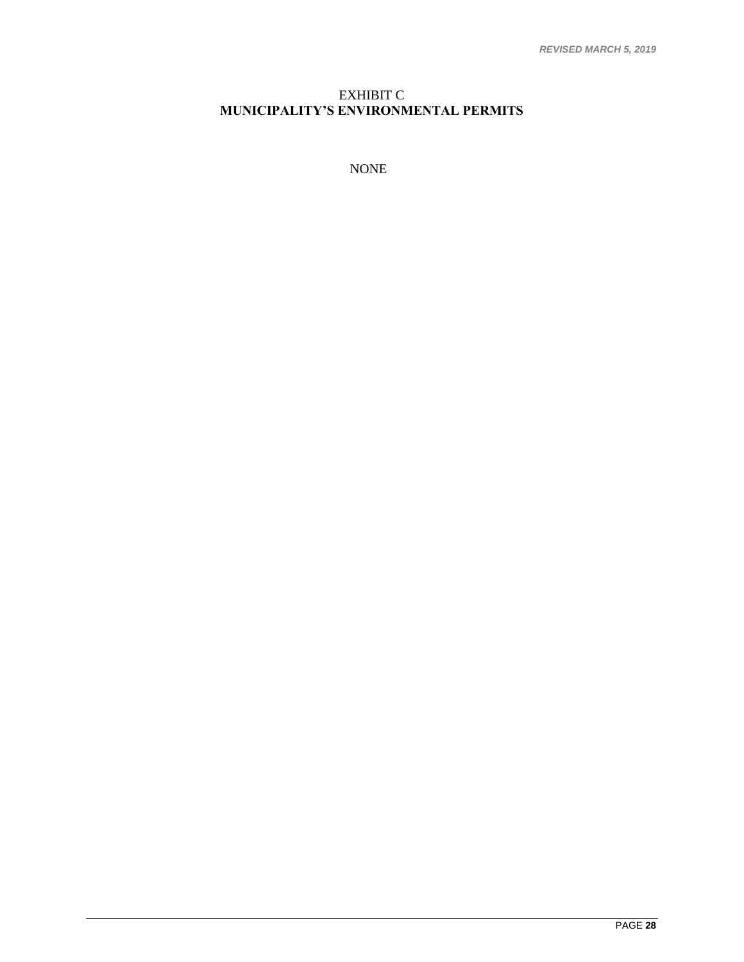#### EXHIBIT C **MUNICIPALITY'S ENVIRONMENTAL PERMITS**

NONE